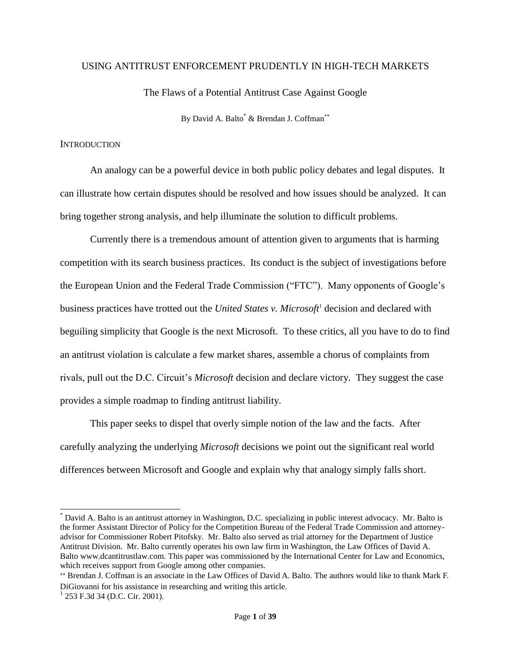#### USING ANTITRUST ENFORCEMENT PRUDENTLY IN HIGH-TECH MARKETS

The Flaws of a Potential Antitrust Case Against Google

By David A. Balto<sup>\*</sup> & Brendan J. Coffman<sup>\*\*</sup>

#### **INTRODUCTION**

An analogy can be a powerful device in both public policy debates and legal disputes. It can illustrate how certain disputes should be resolved and how issues should be analyzed. It can bring together strong analysis, and help illuminate the solution to difficult problems.

Currently there is a tremendous amount of attention given to arguments that is harming competition with its search business practices. Its conduct is the subject of investigations before the European Union and the Federal Trade Commission ("FTC"). Many opponents of Google's business practices have trotted out the *United States v. Microsoft*<sup>1</sup> decision and declared with beguiling simplicity that Google is the next Microsoft. To these critics, all you have to do to find an antitrust violation is calculate a few market shares, assemble a chorus of complaints from rivals, pull out the D.C. Circuit's *Microsoft* decision and declare victory. They suggest the case provides a simple roadmap to finding antitrust liability.

This paper seeks to dispel that overly simple notion of the law and the facts. After carefully analyzing the underlying *Microsoft* decisions we point out the significant real world differences between Microsoft and Google and explain why that analogy simply falls short.

David A. Balto is an antitrust attorney in Washington, D.C. specializing in public interest advocacy. Mr. Balto is the former Assistant Director of Policy for the Competition Bureau of the Federal Trade Commission and attorneyadvisor for Commissioner Robert Pitofsky. Mr. Balto also served as trial attorney for the Department of Justice Antitrust Division. Mr. Balto currently operates his own law firm in Washington, the Law Offices of David A. Balto www.dcantitrustlaw.com. This paper was commissioned by the International Center for Law and Economics, which receives support from Google among other companies.

<sup>\*\*</sup> Brendan J. Coffman is an associate in the Law Offices of David A. Balto. The authors would like to thank Mark F. DiGiovanni for his assistance in researching and writing this article.

<sup>&</sup>lt;sup>1</sup> 253 F.3d 34 (D.C. Cir. 2001).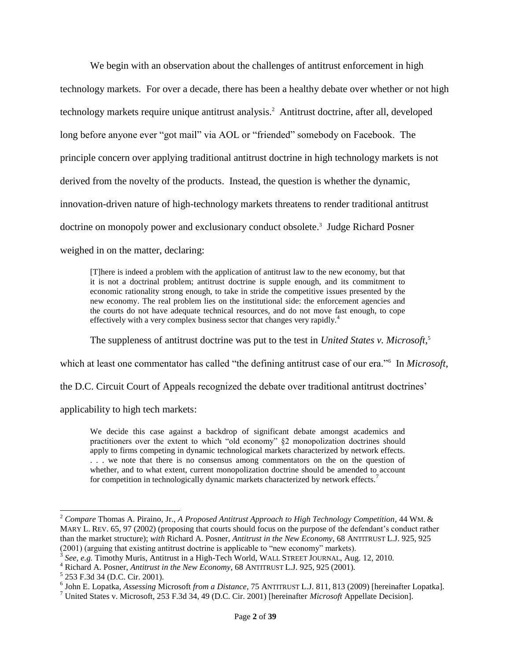We begin with an observation about the challenges of antitrust enforcement in high technology markets. For over a decade, there has been a healthy debate over whether or not high technology markets require unique antitrust analysis.<sup>2</sup> Antitrust doctrine, after all, developed long before anyone ever "got mail" via AOL or "friended" somebody on Facebook. The principle concern over applying traditional antitrust doctrine in high technology markets is not derived from the novelty of the products. Instead, the question is whether the dynamic, innovation-driven nature of high-technology markets threatens to render traditional antitrust doctrine on monopoly power and exclusionary conduct obsolete. 3 Judge Richard Posner weighed in on the matter, declaring:

[T]here is indeed a problem with the application of antitrust law to the new economy, but that it is not a doctrinal problem; antitrust doctrine is supple enough, and its commitment to economic rationality strong enough, to take in stride the competitive issues presented by the new economy. The real problem lies on the institutional side: the enforcement agencies and the courts do not have adequate technical resources, and do not move fast enough, to cope effectively with a very complex business sector that changes very rapidly.<sup>4</sup>

<span id="page-1-0"></span>The suppleness of antitrust doctrine was put to the test in *United States v. Microsoft*, 5

which at least one commentator has called "the defining antitrust case of our era."<sup>6</sup> In *Microsoft*,

the D.C. Circuit Court of Appeals recognized the debate over traditional antitrust doctrines'

applicability to high tech markets:

<span id="page-1-1"></span>We decide this case against a backdrop of significant debate amongst academics and practitioners over the extent to which "old economy" §2 monopolization doctrines should apply to firms competing in dynamic technological markets characterized by network effects. . . . we note that there is no consensus among commentators on the on the question of whether, and to what extent, current monopolization doctrine should be amended to account for competition in technologically dynamic markets characterized by network effects.<sup>7</sup>

l

<sup>2</sup> *Compare* Thomas A. Piraino, Jr., *A Proposed Antitrust Approach to High Technology Competition*, 44 WM. & MARY L. REV. 65, 97 (2002) (proposing that courts should focus on the purpose of the defendant's conduct rather than the market structure); *with* Richard A. Posner, *Antitrust in the New Economy*, 68 ANTITRUST L.J. 925, 925 (2001) (arguing that existing antitrust doctrine is applicable to "new economy" markets).

<sup>3</sup> *See, e.g.* Timothy Muris, Antitrust in a High-Tech World, WALL STREET JOURNAL, Aug. 12, 2010.

<sup>4</sup> Richard A. Posner, *Antitrust in the New Economy*, 68 ANTITRUST L.J. 925, 925 (2001).

<sup>5</sup> 253 F.3d 34 (D.C. Cir. 2001).

<sup>6</sup> John E. Lopatka, *Assessing* Microsoft *from a Distance*, 75 ANTITRUST L.J. 811, 813 (2009) [hereinafter Lopatka].

<sup>7</sup> United States v. Microsoft, 253 F.3d 34, 49 (D.C. Cir. 2001) [hereinafter *Microsoft* Appellate Decision].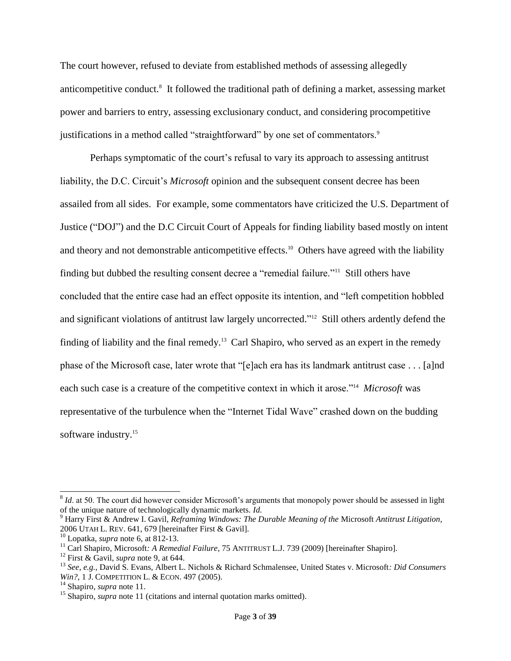The court however, refused to deviate from established methods of assessing allegedly anticompetitive conduct.<sup>8</sup> It followed the traditional path of defining a market, assessing market power and barriers to entry, assessing exclusionary conduct, and considering procompetitive justifications in a method called "straightforward" by one set of commentators.<sup>9</sup>

<span id="page-2-1"></span><span id="page-2-0"></span>Perhaps symptomatic of the court's refusal to vary its approach to assessing antitrust liability, the D.C. Circuit's *Microsoft* opinion and the subsequent consent decree has been assailed from all sides. For example, some commentators have criticized the U.S. Department of Justice ("DOJ") and the D.C Circuit Court of Appeals for finding liability based mostly on intent and theory and not demonstrable anticompetitive effects.<sup>10</sup> Others have agreed with the liability finding but dubbed the resulting consent decree a "remedial failure."<sup>11</sup> Still others have concluded that the entire case had an effect opposite its intention, and "left competition hobbled and significant violations of antitrust law largely uncorrected."<sup>12</sup> Still others ardently defend the finding of liability and the final remedy.<sup>13</sup> Carl Shapiro, who served as an expert in the remedy phase of the Microsoft case, later wrote that "[e]ach era has its landmark antitrust case . . . [a]nd each such case is a creature of the competitive context in which it arose."<sup>14</sup> *Microsoft* was representative of the turbulence when the "Internet Tidal Wave" crashed down on the budding software industry.<sup>15</sup>

 $8$  *Id.* at 50. The court did however consider Microsoft's arguments that monopoly power should be assessed in light of the unique nature of technologically dynamic markets. *Id.*

<sup>9</sup> Harry First & Andrew I. Gavil, *Reframing Windows: The Durable Meaning of the* Microsoft *Antitrust Litigation*, 2006 UTAH L. REV. 641, 679 [hereinafter First & Gavil].

<sup>10</sup> Lopatka, *supra* note [6,](#page-1-0) at 812-13.

<sup>11</sup> Carl Shapiro, Microsoft*: A Remedial Failure*, 75 ANTITRUST L.J. 739 (2009) [hereinafter Shapiro].

<sup>12</sup> First & Gavil, *supra* note [9,](#page-2-0) at 644.

<sup>13</sup> *See, e.g.*, David S. Evans, Albert L. Nichols & Richard Schmalensee, United States v. Microsoft*: Did Consumers Win?*, 1 J. COMPETITION L. & ECON. 497 (2005).

<sup>14</sup> Shapiro, *supra* note [11.](#page-2-1)

<sup>&</sup>lt;sup>15</sup> Shapiro, *supra* note [11](#page-2-1) (citations and internal quotation marks omitted).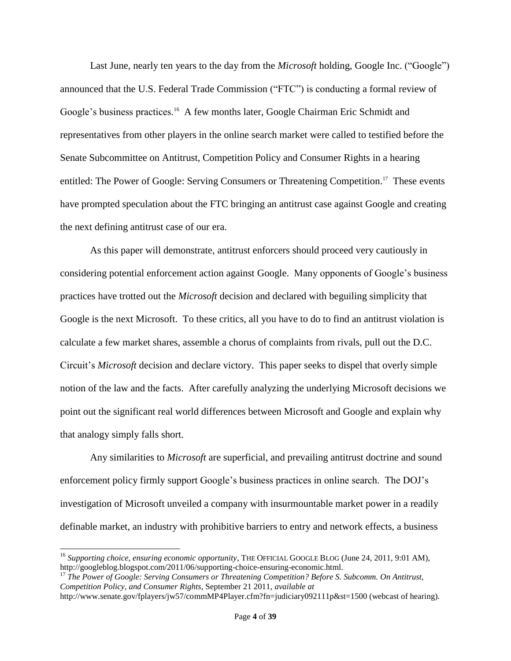Last June, nearly ten years to the day from the *Microsoft* holding, Google Inc. ("Google") announced that the U.S. Federal Trade Commission ("FTC") is conducting a formal review of Google's business practices.<sup>16</sup> A few months later, Google Chairman Eric Schmidt and representatives from other players in the online search market were called to testified before the Senate Subcommittee on Antitrust, Competition Policy and Consumer Rights in a hearing entitled: The Power of Google: Serving Consumers or Threatening Competition.<sup>17</sup> These events have prompted speculation about the FTC bringing an antitrust case against Google and creating the next defining antitrust case of our era.

As this paper will demonstrate, antitrust enforcers should proceed very cautiously in considering potential enforcement action against Google. Many opponents of Google's business practices have trotted out the *Microsoft* decision and declared with beguiling simplicity that Google is the next Microsoft. To these critics, all you have to do to find an antitrust violation is calculate a few market shares, assemble a chorus of complaints from rivals, pull out the D.C. Circuit's *Microsoft* decision and declare victory. This paper seeks to dispel that overly simple notion of the law and the facts. After carefully analyzing the underlying Microsoft decisions we point out the significant real world differences between Microsoft and Google and explain why that analogy simply falls short.

Any similarities to *Microsoft* are superficial, and prevailing antitrust doctrine and sound enforcement policy firmly support Google's business practices in online search. The DOJ's investigation of Microsoft unveiled a company with insurmountable market power in a readily definable market, an industry with prohibitive barriers to entry and network effects, a business

<sup>&</sup>lt;sup>16</sup> Supporting choice, ensuring economic opportunity, THE OFFICIAL GOOGLE BLOG (June 24, 2011, 9:01 AM), http://googleblog.blogspot.com/2011/06/supporting-choice-ensuring-economic.html.

<sup>17</sup> *The Power of Google: Serving Consumers or Threatening Competition? Before S. Subcomm. On Antitrust, Competition Policy, and Consumer Rights*, September 21 2011, *available at*

http://www.senate.gov/fplayers/jw57/commMP4Player.cfm?fn=judiciary092111p&st=1500 (webcast of hearing).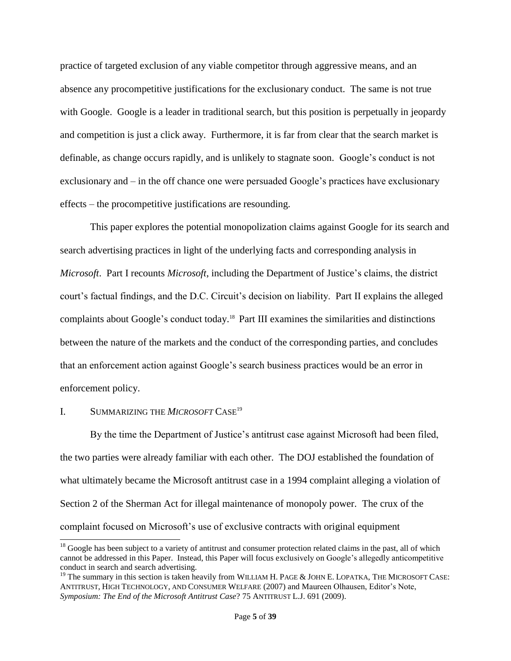practice of targeted exclusion of any viable competitor through aggressive means, and an absence any procompetitive justifications for the exclusionary conduct. The same is not true with Google. Google is a leader in traditional search, but this position is perpetually in jeopardy and competition is just a click away. Furthermore, it is far from clear that the search market is definable, as change occurs rapidly, and is unlikely to stagnate soon. Google's conduct is not exclusionary and – in the off chance one were persuaded Google's practices have exclusionary effects – the procompetitive justifications are resounding.

This paper explores the potential monopolization claims against Google for its search and search advertising practices in light of the underlying facts and corresponding analysis in *Microsoft*. Part I recounts *Microsoft*, including the Department of Justice's claims, the district court's factual findings, and the D.C. Circuit's decision on liability. Part II explains the alleged complaints about Google's conduct today.<sup>18</sup> Part III examines the similarities and distinctions between the nature of the markets and the conduct of the corresponding parties, and concludes that an enforcement action against Google's search business practices would be an error in enforcement policy.

# I. SUMMARIZING THE *MICROSOFT* CASE<sup>19</sup>

 $\overline{a}$ 

By the time the Department of Justice's antitrust case against Microsoft had been filed, the two parties were already familiar with each other. The DOJ established the foundation of what ultimately became the Microsoft antitrust case in a 1994 complaint alleging a violation of Section 2 of the Sherman Act for illegal maintenance of monopoly power. The crux of the complaint focused on Microsoft's use of exclusive contracts with original equipment

 $18$  Google has been subject to a variety of antitrust and consumer protection related claims in the past, all of which cannot be addressed in this Paper. Instead, this Paper will focus exclusively on Google's allegedly anticompetitive conduct in search and search advertising.

<sup>&</sup>lt;sup>19</sup> The summary in this section is taken heavily from WILLIAM H. PAGE & JOHN E. LOPATKA, THE MICROSOFT CASE: ANTITRUST, HIGH TECHNOLOGY, AND CONSUMER WELFARE (2007) and Maureen Olhausen, Editor's Note, *Symposium: The End of the Microsoft Antitrust Case*? 75 ANTITRUST L.J. 691 (2009).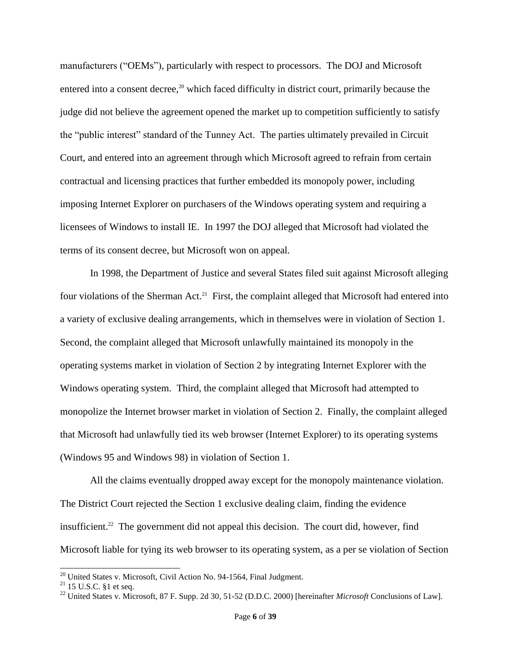manufacturers ("OEMs"), particularly with respect to processors. The DOJ and Microsoft entered into a consent decree,<sup>20</sup> which faced difficulty in district court, primarily because the judge did not believe the agreement opened the market up to competition sufficiently to satisfy the "public interest" standard of the Tunney Act. The parties ultimately prevailed in Circuit Court, and entered into an agreement through which Microsoft agreed to refrain from certain contractual and licensing practices that further embedded its monopoly power, including imposing Internet Explorer on purchasers of the Windows operating system and requiring a licensees of Windows to install IE. In 1997 the DOJ alleged that Microsoft had violated the terms of its consent decree, but Microsoft won on appeal.

In 1998, the Department of Justice and several States filed suit against Microsoft alleging four violations of the Sherman Act.<sup>21</sup> First, the complaint alleged that Microsoft had entered into a variety of exclusive dealing arrangements, which in themselves were in violation of Section 1. Second, the complaint alleged that Microsoft unlawfully maintained its monopoly in the operating systems market in violation of Section 2 by integrating Internet Explorer with the Windows operating system. Third, the complaint alleged that Microsoft had attempted to monopolize the Internet browser market in violation of Section 2. Finally, the complaint alleged that Microsoft had unlawfully tied its web browser (Internet Explorer) to its operating systems (Windows 95 and Windows 98) in violation of Section 1.

All the claims eventually dropped away except for the monopoly maintenance violation. The District Court rejected the Section 1 exclusive dealing claim, finding the evidence insufficient. <sup>22</sup> The government did not appeal this decision. The court did, however, find Microsoft liable for tying its web browser to its operating system, as a per se violation of Section

l

<sup>&</sup>lt;sup>20</sup> United States v. Microsoft, Civil Action No. 94-1564, Final Judgment.

 $^{21}$  15 U.S.C. §1 et seq.

<sup>22</sup> United States v. Microsoft, 87 F. Supp. 2d 30, 51-52 (D.D.C. 2000) [hereinafter *Microsoft* Conclusions of Law].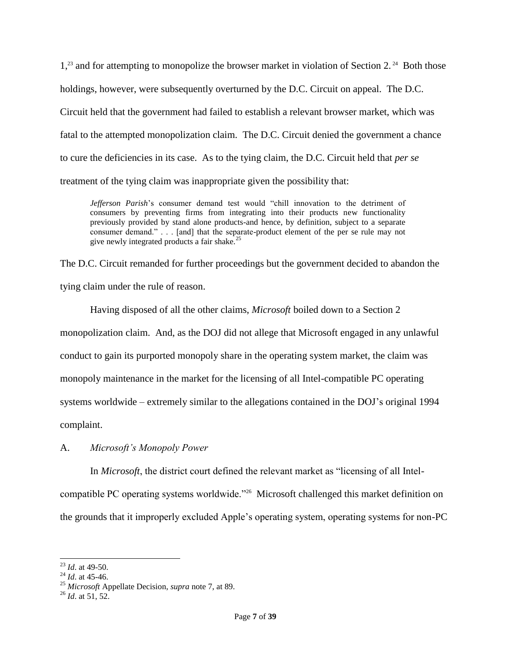1,<sup>23</sup> and for attempting to monopolize the browser market in violation of Section 2.<sup>24</sup> Both those holdings, however, were subsequently overturned by the D.C. Circuit on appeal. The D.C. Circuit held that the government had failed to establish a relevant browser market, which was fatal to the attempted monopolization claim. The D.C. Circuit denied the government a chance to cure the deficiencies in its case. As to the tying claim, the D.C. Circuit held that *per se*  treatment of the tying claim was inappropriate given the possibility that:

*Jefferson Parish*'s consumer demand test would "chill innovation to the detriment of consumers by preventing firms from integrating into their products new functionality previously provided by stand alone products-and hence, by definition, subject to a separate consumer demand." . . . [and] that the separate-product element of the per se rule may not give newly integrated products a fair shake.<sup>25</sup>

The D.C. Circuit remanded for further proceedings but the government decided to abandon the tying claim under the rule of reason.

Having disposed of all the other claims, *Microsoft* boiled down to a Section 2 monopolization claim. And, as the DOJ did not allege that Microsoft engaged in any unlawful conduct to gain its purported monopoly share in the operating system market, the claim was monopoly maintenance in the market for the licensing of all Intel-compatible PC operating systems worldwide – extremely similar to the allegations contained in the DOJ's original 1994 complaint.

A. *Microsoft's Monopoly Power*

In *Microsoft*, the district court defined the relevant market as "licensing of all Intel-

compatible PC operating systems worldwide."<sup>26</sup> Microsoft challenged this market definition on the grounds that it improperly excluded Apple's operating system, operating systems for non-PC

 $\overline{a}$ <sup>23</sup> *Id*. at 49-50.

<sup>24</sup> *Id*. at 45-46.

<sup>25</sup> *Microsoft* Appellate Decision, *supra* note [7,](#page-1-1) at 89.

<sup>26</sup> *Id*. at 51, 52.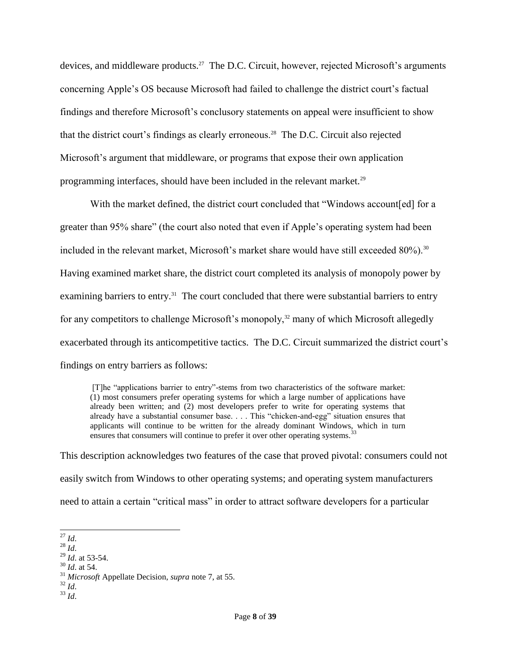devices, and middleware products.<sup>27</sup> The D.C. Circuit, however, rejected Microsoft's arguments concerning Apple's OS because Microsoft had failed to challenge the district court's factual findings and therefore Microsoft's conclusory statements on appeal were insufficient to show that the district court's findings as clearly erroneous.<sup>28</sup> The D.C. Circuit also rejected Microsoft's argument that middleware, or programs that expose their own application programming interfaces, should have been included in the relevant market.<sup>29</sup>

With the market defined, the district court concluded that "Windows account[ed] for a greater than 95% share" (the court also noted that even if Apple's operating system had been included in the relevant market, Microsoft's market share would have still exceeded  $80\%$ ).<sup>30</sup> Having examined market share, the district court completed its analysis of monopoly power by examining barriers to entry.<sup>31</sup> The court concluded that there were substantial barriers to entry for any competitors to challenge Microsoft's monopoly,<sup>32</sup> many of which Microsoft allegedly exacerbated through its anticompetitive tactics. The D.C. Circuit summarized the district court's findings on entry barriers as follows:

[T]he "applications barrier to entry"-stems from two characteristics of the software market: (1) most consumers prefer operating systems for which a large number of applications have already been written; and (2) most developers prefer to write for operating systems that already have a substantial consumer base. . . . This "chicken-and-egg" situation ensures that applicants will continue to be written for the already dominant Windows, which in turn ensures that consumers will continue to prefer it over other operating systems.<sup>33</sup>

This description acknowledges two features of the case that proved pivotal: consumers could not easily switch from Windows to other operating systems; and operating system manufacturers need to attain a certain "critical mass" in order to attract software developers for a particular

<sup>30</sup> *Id*. at 54.

- <sup>32</sup> *Id*.
- <sup>33</sup> *Id*.

 $\overline{a}$ <sup>27</sup> *Id*.

<sup>28</sup> *Id*.

<sup>29</sup> *Id*. at 53-54.

<sup>31</sup> *Microsoft* Appellate Decision, *supra* note [7,](#page-1-1) at 55.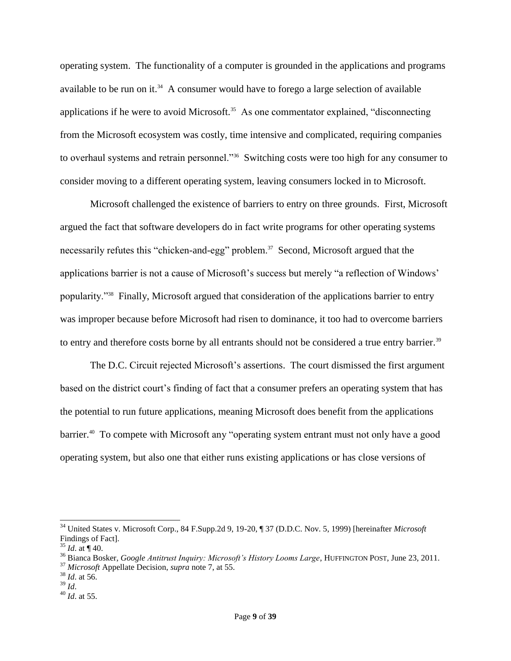<span id="page-8-0"></span>operating system. The functionality of a computer is grounded in the applications and programs available to be run on it.<sup>34</sup> A consumer would have to forego a large selection of available applications if he were to avoid Microsoft.<sup>35</sup> As one commentator explained, "disconnecting from the Microsoft ecosystem was costly, time intensive and complicated, requiring companies to overhaul systems and retrain personnel."<sup>36</sup> Switching costs were too high for any consumer to consider moving to a different operating system, leaving consumers locked in to Microsoft.

Microsoft challenged the existence of barriers to entry on three grounds. First, Microsoft argued the fact that software developers do in fact write programs for other operating systems necessarily refutes this "chicken-and-egg" problem.<sup>37</sup> Second, Microsoft argued that the applications barrier is not a cause of Microsoft's success but merely "a reflection of Windows' popularity."<sup>38</sup> Finally, Microsoft argued that consideration of the applications barrier to entry was improper because before Microsoft had risen to dominance, it too had to overcome barriers to entry and therefore costs borne by all entrants should not be considered a true entry barrier.<sup>39</sup>

The D.C. Circuit rejected Microsoft's assertions. The court dismissed the first argument based on the district court's finding of fact that a consumer prefers an operating system that has the potential to run future applications, meaning Microsoft does benefit from the applications barrier.<sup>40</sup> To compete with Microsoft any "operating system entrant must not only have a good operating system, but also one that either runs existing applications or has close versions of

<sup>34</sup> United States v. Microsoft Corp., 84 F.Supp.2d 9, 19-20, ¶ 37 (D.D.C. Nov. 5, 1999) [hereinafter *Microsoft*  Findings of Fact].

 $35$  *Id.* at  $\P$  40.

<sup>36</sup> Bianca Bosker, *Google Antitrust Inquiry: Microsoft's History Looms Large*, HUFFINGTON POST, June 23, 2011.

<sup>37</sup> *Microsoft* Appellate Decision, *supra* note [7,](#page-1-1) at 55.

 $38$  *Id.* at 56.

<sup>39</sup> *Id*.

<sup>40</sup> *Id*. at 55.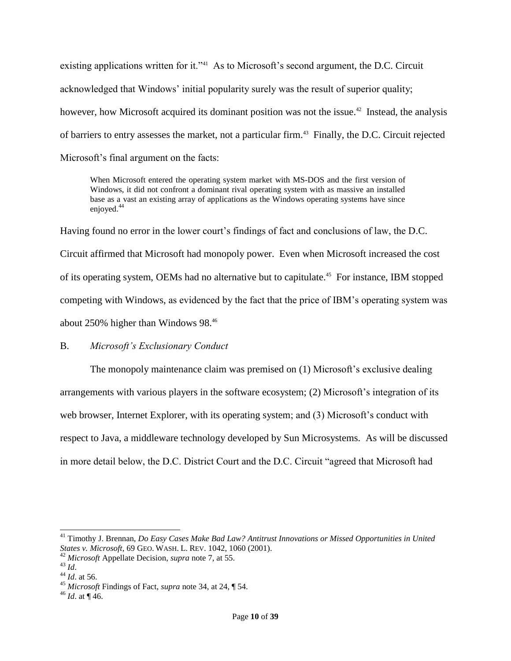existing applications written for it."<sup>41</sup> As to Microsoft's second argument, the D.C. Circuit acknowledged that Windows' initial popularity surely was the result of superior quality; however, how Microsoft acquired its dominant position was not the issue.<sup>42</sup> Instead, the analysis of barriers to entry assesses the market, not a particular firm.<sup>43</sup> Finally, the D.C. Circuit rejected Microsoft's final argument on the facts:

When Microsoft entered the operating system market with MS-DOS and the first version of Windows, it did not confront a dominant rival operating system with as massive an installed base as a vast an existing array of applications as the Windows operating systems have since enjoyed.<sup>44</sup>

Having found no error in the lower court's findings of fact and conclusions of law, the D.C. Circuit affirmed that Microsoft had monopoly power. Even when Microsoft increased the cost of its operating system, OEMs had no alternative but to capitulate.<sup>45</sup> For instance, IBM stopped competing with Windows, as evidenced by the fact that the price of IBM's operating system was about 250% higher than Windows 98.<sup>46</sup>

## B. *Microsoft's Exclusionary Conduct*

The monopoly maintenance claim was premised on (1) Microsoft's exclusive dealing arrangements with various players in the software ecosystem; (2) Microsoft's integration of its web browser, Internet Explorer, with its operating system; and (3) Microsoft's conduct with respect to Java, a middleware technology developed by Sun Microsystems. As will be discussed in more detail below, the D.C. District Court and the D.C. Circuit "agreed that Microsoft had

<sup>41</sup> Timothy J. Brennan, *Do Easy Cases Make Bad Law? Antitrust Innovations or Missed Opportunities in United States v. Microsoft*, 69 GEO. WASH. L. REV. 1042, 1060 (2001).

<sup>42</sup> *Microsoft* Appellate Decision, *supra* note [7,](#page-1-1) at 55.

<sup>43</sup> *Id*.

<sup>44</sup> *Id*. at 56.

<sup>45</sup> *Microsoft* Findings of Fact, *supra* note [34,](#page-8-0) at 24, ¶ 54.

 $46$  *Id.* at ¶ 46.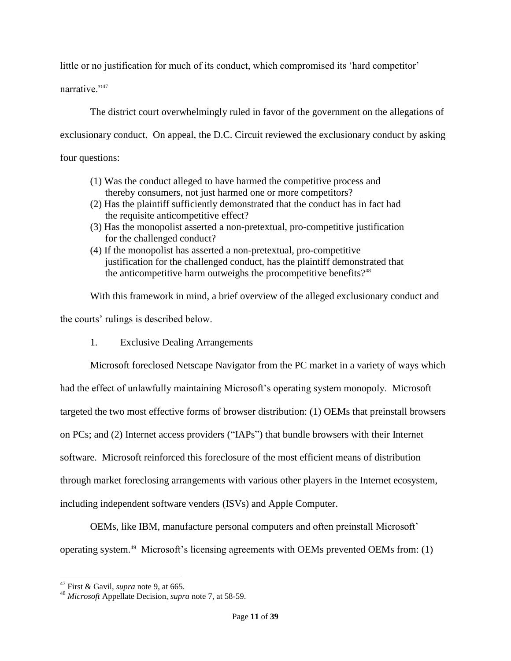little or no justification for much of its conduct, which compromised its 'hard competitor'

narrative<sup>"47</sup>

The district court overwhelmingly ruled in favor of the government on the allegations of exclusionary conduct. On appeal, the D.C. Circuit reviewed the exclusionary conduct by asking four questions:

- (1) Was the conduct alleged to have harmed the competitive process and thereby consumers, not just harmed one or more competitors?
- (2) Has the plaintiff sufficiently demonstrated that the conduct has in fact had the requisite anticompetitive effect?
- (3) Has the monopolist asserted a non-pretextual, pro-competitive justification for the challenged conduct?
- (4) If the monopolist has asserted a non-pretextual, pro-competitive justification for the challenged conduct, has the plaintiff demonstrated that the anticompetitive harm outweighs the procompetitive benefits?<sup>48</sup>

With this framework in mind, a brief overview of the alleged exclusionary conduct and the courts' rulings is described below.

1. Exclusive Dealing Arrangements

Microsoft foreclosed Netscape Navigator from the PC market in a variety of ways which had the effect of unlawfully maintaining Microsoft's operating system monopoly. Microsoft targeted the two most effective forms of browser distribution: (1) OEMs that preinstall browsers on PCs; and (2) Internet access providers ("IAPs") that bundle browsers with their Internet software. Microsoft reinforced this foreclosure of the most efficient means of distribution through market foreclosing arrangements with various other players in the Internet ecosystem, including independent software venders (ISVs) and Apple Computer.

OEMs, like IBM, manufacture personal computers and often preinstall Microsoft' operating system. <sup>49</sup> Microsoft's licensing agreements with OEMs prevented OEMs from: (1)

<sup>47</sup> First & Gavil, *supra* note [9,](#page-2-0) at 665.

<sup>48</sup> *Microsoft* Appellate Decision, *supra* note [7,](#page-1-1) at 58-59.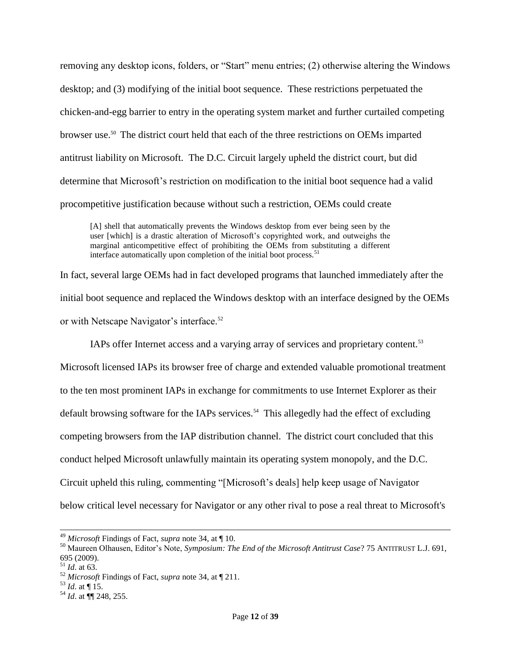removing any desktop icons, folders, or "Start" menu entries; (2) otherwise altering the Windows desktop; and (3) modifying of the initial boot sequence. These restrictions perpetuated the chicken-and-egg barrier to entry in the operating system market and further curtailed competing browser use. <sup>50</sup> The district court held that each of the three restrictions on OEMs imparted antitrust liability on Microsoft. The D.C. Circuit largely upheld the district court, but did determine that Microsoft's restriction on modification to the initial boot sequence had a valid procompetitive justification because without such a restriction, OEMs could create

[A] shell that automatically prevents the Windows desktop from ever being seen by the user [which] is a drastic alteration of Microsoft's copyrighted work, and outweighs the marginal anticompetitive effect of prohibiting the OEMs from substituting a different interface automatically upon completion of the initial boot process.<sup>51</sup>

In fact, several large OEMs had in fact developed programs that launched immediately after the initial boot sequence and replaced the Windows desktop with an interface designed by the OEMs or with Netscape Navigator's interface.<sup>52</sup>

IAPs offer Internet access and a varying array of services and proprietary content.<sup>53</sup>

Microsoft licensed IAPs its browser free of charge and extended valuable promotional treatment to the ten most prominent IAPs in exchange for commitments to use Internet Explorer as their default browsing software for the IAPs services.<sup>54</sup> This allegedly had the effect of excluding competing browsers from the IAP distribution channel. The district court concluded that this conduct helped Microsoft unlawfully maintain its operating system monopoly, and the D.C. Circuit upheld this ruling, commenting "[Microsoft's deals] help keep usage of Navigator below critical level necessary for Navigator or any other rival to pose a real threat to Microsoft's

 $\overline{\phantom{a}}$ 

<sup>49</sup> *Microsoft* Findings of Fact, *supra* note [34,](#page-8-0) at ¶ 10.

<sup>50</sup> Maureen Olhausen, Editor's Note, *Symposium: The End of the Microsoft Antitrust Case*? 75 ANTITRUST L.J. 691, 695 (2009).

 $^{51}$  *Id.* at 63.

<sup>52</sup> *Microsoft* Findings of Fact, *supra* note [34,](#page-8-0) at ¶ 211.

 $^{53}$  *Id.* at  $\P$  15.

<sup>54</sup> *Id*. at ¶¶ 248, 255.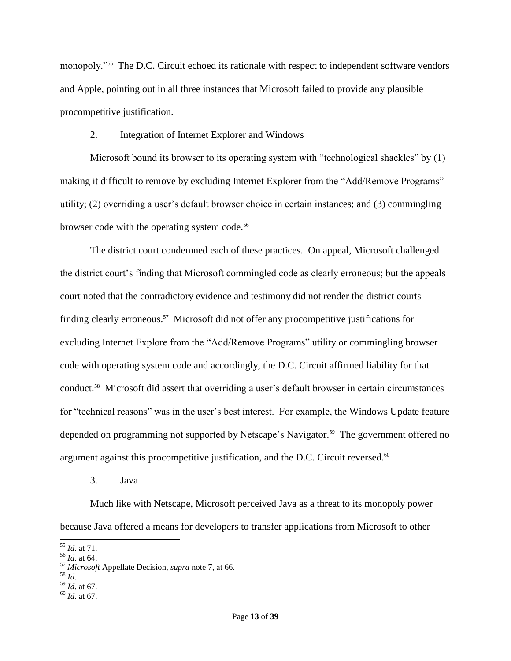monopoly."<sup>55</sup> The D.C. Circuit echoed its rationale with respect to independent software vendors and Apple, pointing out in all three instances that Microsoft failed to provide any plausible procompetitive justification.

## 2. Integration of Internet Explorer and Windows

Microsoft bound its browser to its operating system with "technological shackles" by (1) making it difficult to remove by excluding Internet Explorer from the "Add/Remove Programs" utility; (2) overriding a user's default browser choice in certain instances; and (3) commingling browser code with the operating system code.<sup>56</sup>

The district court condemned each of these practices. On appeal, Microsoft challenged the district court's finding that Microsoft commingled code as clearly erroneous; but the appeals court noted that the contradictory evidence and testimony did not render the district courts finding clearly erroneous.<sup>57</sup> Microsoft did not offer any procompetitive justifications for excluding Internet Explore from the "Add/Remove Programs" utility or commingling browser code with operating system code and accordingly, the D.C. Circuit affirmed liability for that conduct.<sup>58</sup> Microsoft did assert that overriding a user's default browser in certain circumstances for "technical reasons" was in the user's best interest. For example, the Windows Update feature depended on programming not supported by Netscape's Navigator.<sup>59</sup> The government offered no argument against this procompetitive justification, and the D.C. Circuit reversed.<sup>60</sup>

3. Java

Much like with Netscape, Microsoft perceived Java as a threat to its monopoly power because Java offered a means for developers to transfer applications from Microsoft to other

- <sup>58</sup> *Id*.
- <sup>59</sup> *Id*. at 67.
- <sup>60</sup> *Id*. at 67.

 $\overline{a}$ <sup>55</sup> *Id*. at 71.

<sup>56</sup> *Id*. at 64.

<sup>57</sup> *Microsoft* Appellate Decision, *supra* note [7,](#page-1-1) at 66.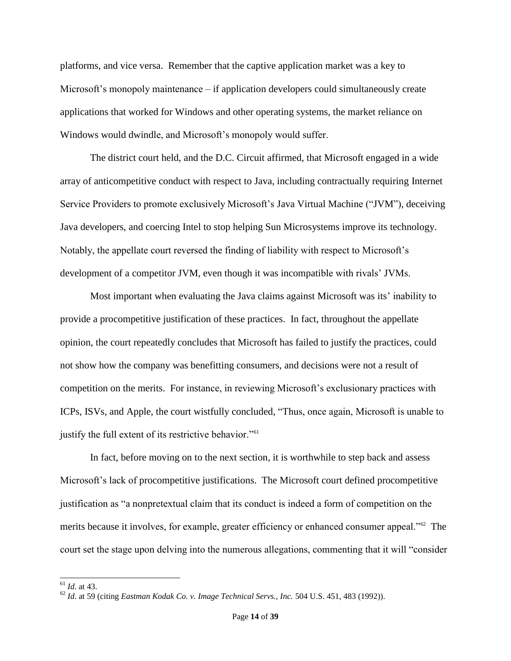platforms, and vice versa. Remember that the captive application market was a key to Microsoft's monopoly maintenance – if application developers could simultaneously create applications that worked for Windows and other operating systems, the market reliance on Windows would dwindle, and Microsoft's monopoly would suffer.

The district court held, and the D.C. Circuit affirmed, that Microsoft engaged in a wide array of anticompetitive conduct with respect to Java, including contractually requiring Internet Service Providers to promote exclusively Microsoft's Java Virtual Machine ("JVM"), deceiving Java developers, and coercing Intel to stop helping Sun Microsystems improve its technology. Notably, the appellate court reversed the finding of liability with respect to Microsoft's development of a competitor JVM, even though it was incompatible with rivals' JVMs.

Most important when evaluating the Java claims against Microsoft was its' inability to provide a procompetitive justification of these practices. In fact, throughout the appellate opinion, the court repeatedly concludes that Microsoft has failed to justify the practices, could not show how the company was benefitting consumers, and decisions were not a result of competition on the merits. For instance, in reviewing Microsoft's exclusionary practices with ICPs, ISVs, and Apple, the court wistfully concluded, "Thus, once again, Microsoft is unable to justify the full extent of its restrictive behavior."<sup>61</sup>

In fact, before moving on to the next section, it is worthwhile to step back and assess Microsoft's lack of procompetitive justifications. The Microsoft court defined procompetitive justification as "a nonpretextual claim that its conduct is indeed a form of competition on the merits because it involves, for example, greater efficiency or enhanced consumer appeal."<sup>62</sup> The court set the stage upon delving into the numerous allegations, commenting that it will "consider

<sup>61</sup> *Id*. at 43.

<sup>62</sup> *Id*. at 59 (citing *Eastman Kodak Co. v. Image Technical Servs., Inc.* 504 U.S. 451, 483 (1992)).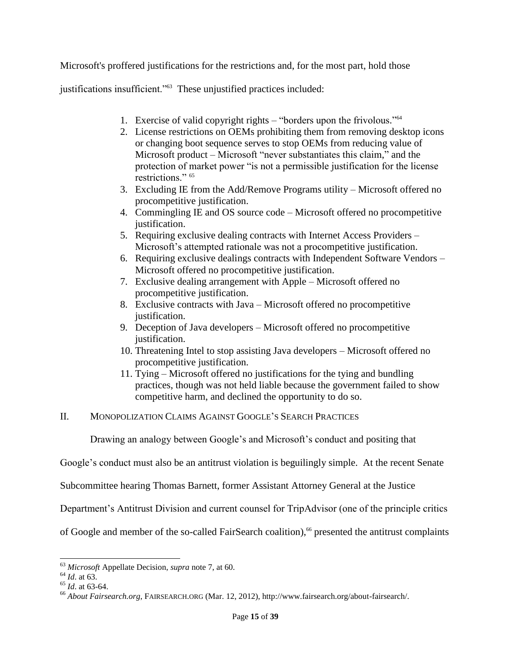Microsoft's proffered justifications for the restrictions and, for the most part, hold those

justifications insufficient."<sup>63</sup> These unjustified practices included:

- 1. Exercise of valid copyright rights "borders upon the frivolous." 64
- 2. License restrictions on OEMs prohibiting them from removing desktop icons or changing boot sequence serves to stop OEMs from reducing value of Microsoft product – Microsoft "never substantiates this claim," and the protection of market power "is not a permissible justification for the license restrictions." 65
- 3. Excluding IE from the Add/Remove Programs utility Microsoft offered no procompetitive justification.
- 4. Commingling IE and OS source code Microsoft offered no procompetitive justification.
- 5. Requiring exclusive dealing contracts with Internet Access Providers Microsoft's attempted rationale was not a procompetitive justification.
- 6. Requiring exclusive dealings contracts with Independent Software Vendors Microsoft offered no procompetitive justification.
- 7. Exclusive dealing arrangement with Apple Microsoft offered no procompetitive justification.
- 8. Exclusive contracts with Java Microsoft offered no procompetitive justification.
- 9. Deception of Java developers Microsoft offered no procompetitive justification.
- 10. Threatening Intel to stop assisting Java developers Microsoft offered no procompetitive justification.
- 11. Tying Microsoft offered no justifications for the tying and bundling practices, though was not held liable because the government failed to show competitive harm, and declined the opportunity to do so.

## II. MONOPOLIZATION CLAIMS AGAINST GOOGLE'S SEARCH PRACTICES

Drawing an analogy between Google's and Microsoft's conduct and positing that

Google's conduct must also be an antitrust violation is beguilingly simple. At the recent Senate

Subcommittee hearing Thomas Barnett, former Assistant Attorney General at the Justice

Department's Antitrust Division and current counsel for TripAdvisor (one of the principle critics

of Google and member of the so-called FairSearch coalition),<sup>66</sup> presented the antitrust complaints

 $\overline{\phantom{a}}$ 

<sup>63</sup> *Microsoft* Appellate Decision, *supra* note [7,](#page-1-1) at 60.

<sup>64</sup> *Id*. at 63.

<sup>65</sup> *Id*. at 63-64.

<sup>66</sup> *About Fairsearch.org*, FAIRSEARCH.ORG (Mar. 12, 2012), http://www.fairsearch.org/about-fairsearch/.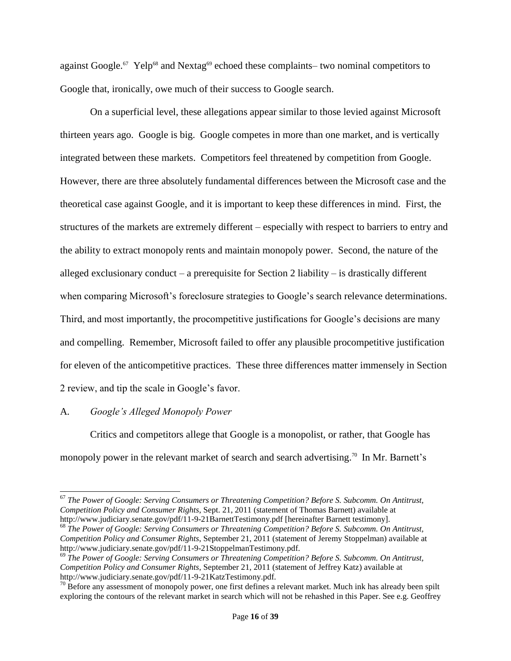<span id="page-15-0"></span>against Google.<sup>67</sup> Yelp<sup>68</sup> and Nextag<sup>69</sup> echoed these complaints– two nominal competitors to Google that, ironically, owe much of their success to Google search.

On a superficial level, these allegations appear similar to those levied against Microsoft thirteen years ago. Google is big. Google competes in more than one market, and is vertically integrated between these markets. Competitors feel threatened by competition from Google. However, there are three absolutely fundamental differences between the Microsoft case and the theoretical case against Google, and it is important to keep these differences in mind. First, the structures of the markets are extremely different – especially with respect to barriers to entry and the ability to extract monopoly rents and maintain monopoly power. Second, the nature of the alleged exclusionary conduct – a prerequisite for Section 2 liability – is drastically different when comparing Microsoft's foreclosure strategies to Google's search relevance determinations. Third, and most importantly, the procompetitive justifications for Google's decisions are many and compelling. Remember, Microsoft failed to offer any plausible procompetitive justification for eleven of the anticompetitive practices. These three differences matter immensely in Section 2 review, and tip the scale in Google's favor.

## A*. Google's Alleged Monopoly Power*

 $\overline{\phantom{a}}$ 

Critics and competitors allege that Google is a monopolist, or rather, that Google has monopoly power in the relevant market of search and search advertising.<sup>70</sup> In Mr. Barnett's

<sup>67</sup> *The Power of Google: Serving Consumers or Threatening Competition? Before S. Subcomm. On Antitrust, Competition Policy and Consumer Rights*, Sept. 21, 2011 (statement of Thomas Barnett) available at http://www.judiciary.senate.gov/pdf/11-9-21BarnettTestimony.pdf [hereinafter Barnett testimony].

<sup>68</sup> *The Power of Google: Serving Consumers or Threatening Competition? Before S. Subcomm. On Antitrust, Competition Policy and Consumer Rights*, September 21, 2011 (statement of Jeremy Stoppelman) available at http://www.judiciary.senate.gov/pdf/11-9-21StoppelmanTestimony.pdf.

<sup>69</sup> *The Power of Google: Serving Consumers or Threatening Competition? Before S. Subcomm. On Antitrust, Competition Policy and Consumer Rights*, September 21, 2011 (statement of Jeffrey Katz) available at http://www.judiciary.senate.gov/pdf/11-9-21KatzTestimony.pdf.

 $70$  Before any assessment of monopoly power, one first defines a relevant market. Much ink has already been spilt exploring the contours of the relevant market in search which will not be rehashed in this Paper. See e.g. Geoffrey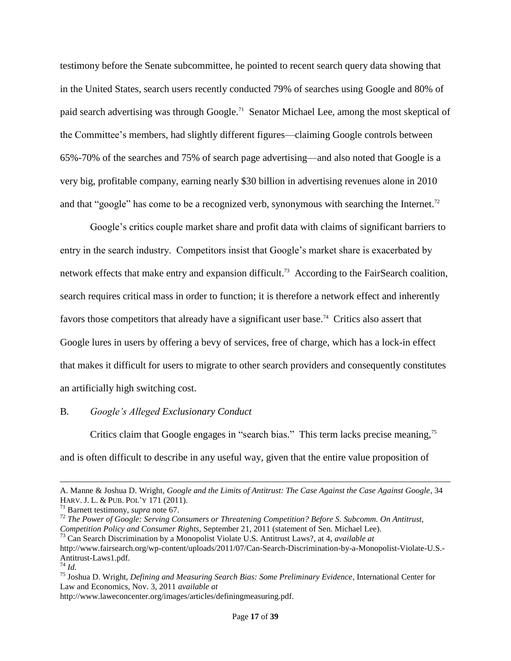testimony before the Senate subcommittee, he pointed to recent search query data showing that in the United States, search users recently conducted 79% of searches using Google and 80% of paid search advertising was through Google.<sup>71</sup> Senator Michael Lee, among the most skeptical of the Committee's members, had slightly different figures—claiming Google controls between 65%-70% of the searches and 75% of search page advertising—and also noted that Google is a very big, profitable company, earning nearly \$30 billion in advertising revenues alone in 2010 and that "google" has come to be a recognized verb, synonymous with searching the Internet.<sup>72</sup>

Google's critics couple market share and profit data with claims of significant barriers to entry in the search industry. Competitors insist that Google's market share is exacerbated by network effects that make entry and expansion difficult.<sup>73</sup> According to the FairSearch coalition, search requires critical mass in order to function; it is therefore a network effect and inherently favors those competitors that already have a significant user base.<sup>74</sup> Critics also assert that Google lures in users by offering a bevy of services, free of charge, which has a lock-in effect that makes it difficult for users to migrate to other search providers and consequently constitutes an artificially high switching cost.

## B*. Google's Alleged Exclusionary Conduct*

Critics claim that Google engages in "search bias." This term lacks precise meaning,<sup>75</sup> and is often difficult to describe in any useful way, given that the entire value proposition of

<sup>73</sup> Can Search Discrimination by a Monopolist Violate U.S. Antitrust Laws?, at 4, *available at* http://www.fairsearch.org/wp-content/uploads/2011/07/Can-Search-Discrimination-by-a-Monopolist-Violate-U.S.- Antitrust-Laws1.pdf.

 $\overline{a}$ 

http://www.laweconcenter.org/images/articles/definingmeasuring.pdf.

A. Manne & Joshua D. Wright, *Google and the Limits of Antitrust: The Case Against the Case Against Google*, 34 HARV. J. L. & PUB. POL'Y 171 (2011).

<sup>71</sup> Barnett testimony, *supra* note [67.](#page-15-0)

<sup>72</sup> *The Power of Google: Serving Consumers or Threatening Competition? Before S. Subcomm. On Antitrust, Competition Policy and Consumer Rights*, September 21, 2011 (statement of Sen. Michael Lee).

<sup>74</sup> *Id.*

<sup>75</sup> Joshua D. Wright, *Defining and Measuring Search Bias: Some Preliminary Evidence*, International Center for Law and Economics, Nov. 3, 2011 *available at*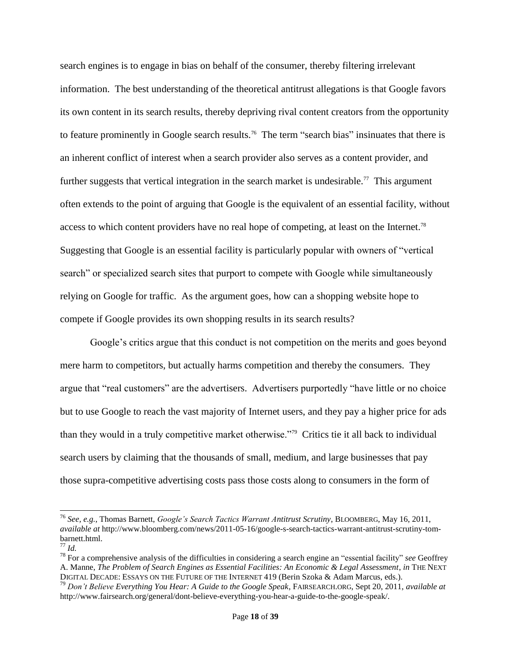search engines is to engage in bias on behalf of the consumer, thereby filtering irrelevant information. The best understanding of the theoretical antitrust allegations is that Google favors its own content in its search results, thereby depriving rival content creators from the opportunity to feature prominently in Google search results.<sup>76</sup> The term "search bias" insinuates that there is an inherent conflict of interest when a search provider also serves as a content provider, and further suggests that vertical integration in the search market is undesirable.<sup>77</sup> This argument often extends to the point of arguing that Google is the equivalent of an essential facility, without access to which content providers have no real hope of competing, at least on the Internet.<sup>78</sup> Suggesting that Google is an essential facility is particularly popular with owners of "vertical search" or specialized search sites that purport to compete with Google while simultaneously relying on Google for traffic. As the argument goes, how can a shopping website hope to compete if Google provides its own shopping results in its search results?

Google's critics argue that this conduct is not competition on the merits and goes beyond mere harm to competitors, but actually harms competition and thereby the consumers. They argue that "real customers" are the advertisers. Advertisers purportedly "have little or no choice but to use Google to reach the vast majority of Internet users, and they pay a higher price for ads than they would in a truly competitive market otherwise."<sup>79</sup> Critics tie it all back to individual search users by claiming that the thousands of small, medium, and large businesses that pay those supra-competitive advertising costs pass those costs along to consumers in the form of

l

<sup>76</sup> *See, e.g.*, Thomas Barnett, *Google's Search Tactics Warrant Antitrust Scrutiny*, BLOOMBERG, May 16, 2011, *available at* http://www.bloomberg.com/news/2011-05-16/google-s-search-tactics-warrant-antitrust-scrutiny-tombarnett.html.

<sup>77</sup> *Id.*

<sup>78</sup> For a comprehensive analysis of the difficulties in considering a search engine an "essential facility" *see* Geoffrey A. Manne, *The Problem of Search Engines as Essential Facilities: An Economic & Legal Assessment*, *in* THE NEXT DIGITAL DECADE: ESSAYS ON THE FUTURE OF THE INTERNET 419 (Berin Szoka & Adam Marcus, eds.).

<sup>79</sup> *Don't Believe Everything You Hear: A Guide to the Google Speak*, FAIRSEARCH.ORG, Sept 20, 2011, *available at* http://www.fairsearch.org/general/dont-believe-everything-you-hear-a-guide-to-the-google-speak/.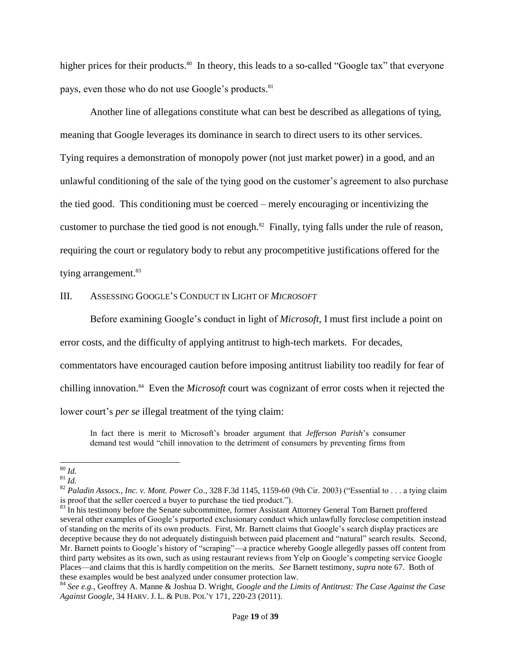higher prices for their products.<sup>80</sup> In theory, this leads to a so-called "Google tax" that everyone pays, even those who do not use Google's products.<sup>81</sup>

Another line of allegations constitute what can best be described as allegations of tying, meaning that Google leverages its dominance in search to direct users to its other services. Tying requires a demonstration of monopoly power (not just market power) in a good, and an unlawful conditioning of the sale of the tying good on the customer's agreement to also purchase the tied good. This conditioning must be coerced – merely encouraging or incentivizing the customer to purchase the tied good is not enough. $82$  Finally, tying falls under the rule of reason, requiring the court or regulatory body to rebut any procompetitive justifications offered for the tying arrangement. 83

#### III. ASSESSING GOOGLE'S CONDUCT IN LIGHT OF *MICROSOFT*

Before examining Google's conduct in light of *Microsoft*, I must first include a point on

error costs, and the difficulty of applying antitrust to high-tech markets. For decades,

commentators have encouraged caution before imposing antitrust liability too readily for fear of

chilling innovation.<sup>84</sup> Even the *Microsoft* court was cognizant of error costs when it rejected the

lower court's *per se* illegal treatment of the tying claim:

In fact there is merit to Microsoft's broader argument that *Jefferson Parish*'s consumer demand test would "chill innovation to the detriment of consumers by preventing firms from

 $\overline{\phantom{a}}$ <sup>80</sup> *Id.*

<sup>81</sup> *Id.*

<sup>82</sup> *Paladin Assocs., Inc. v. Mont. Power Co*., 328 F.3d 1145, 1159-60 (9th Cir. 2003) ("Essential to . . . a tying claim is proof that the seller coerced a buyer to purchase the tied product.").

<sup>&</sup>lt;sup>83</sup> In his testimony before the Senate subcommittee, former Assistant Attorney General Tom Barnett proffered several other examples of Google's purported exclusionary conduct which unlawfully foreclose competition instead of standing on the merits of its own products. First, Mr. Barnett claims that Google's search display practices are deceptive because they do not adequately distinguish between paid placement and "natural" search results. Second, Mr. Barnett points to Google's history of "scraping"—a practice whereby Google allegedly passes off content from third party websites as its own, such as using restaurant reviews from Yelp on Google's competing service Google Places—and claims that this is hardly competition on the merits. *See* Barnett testimony, *supra* note [67.](#page-15-0) Both of these examples would be best analyzed under consumer protection law.

<sup>84</sup> *See e.g.*, Geoffrey A. Manne & Joshua D. Wright, *Google and the Limits of Antitrust: The Case Against the Case Against Google*, 34 HARV. J. L. & PUB. POL'Y 171, 220-23 (2011).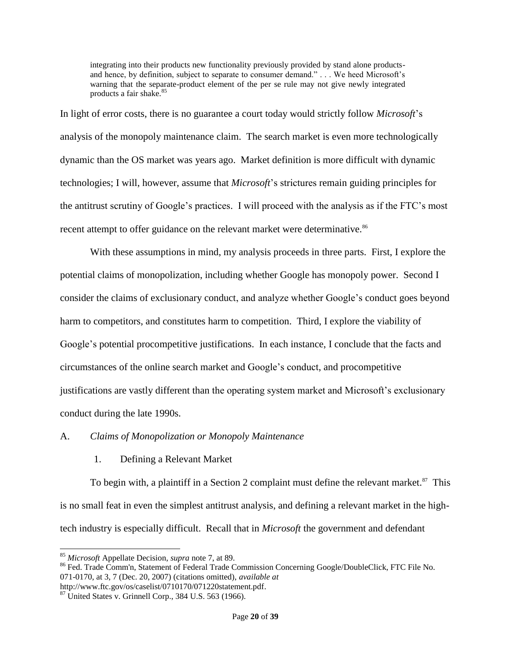integrating into their products new functionality previously provided by stand alone productsand hence, by definition, subject to separate to consumer demand." . . . We heed Microsoft's warning that the separate-product element of the per se rule may not give newly integrated products a fair shake.<sup>85</sup>

In light of error costs, there is no guarantee a court today would strictly follow *Microsoft*'s analysis of the monopoly maintenance claim. The search market is even more technologically dynamic than the OS market was years ago. Market definition is more difficult with dynamic technologies; I will, however, assume that *Microsoft*'s strictures remain guiding principles for the antitrust scrutiny of Google's practices. I will proceed with the analysis as if the FTC's most recent attempt to offer guidance on the relevant market were determinative.<sup>86</sup>

With these assumptions in mind, my analysis proceeds in three parts. First, I explore the potential claims of monopolization, including whether Google has monopoly power. Second I consider the claims of exclusionary conduct, and analyze whether Google's conduct goes beyond harm to competitors, and constitutes harm to competition. Third, I explore the viability of Google's potential procompetitive justifications. In each instance, I conclude that the facts and circumstances of the online search market and Google's conduct, and procompetitive justifications are vastly different than the operating system market and Microsoft's exclusionary conduct during the late 1990s.

## A. *Claims of Monopolization or Monopoly Maintenance*

# 1. Defining a Relevant Market

To begin with, a plaintiff in a Section 2 complaint must define the relevant market. $^{87}$  This is no small feat in even the simplest antitrust analysis, and defining a relevant market in the hightech industry is especially difficult. Recall that in *Microsoft* the government and defendant

 $\overline{\phantom{a}}$ <sup>85</sup> *Microsoft* Appellate Decision, *supra* note [7,](#page-1-1) at 89.

<sup>&</sup>lt;sup>86</sup> Fed. Trade Comm'n, Statement of Federal Trade Commission Concerning Google/DoubleClick, FTC File No. 071-0170, at 3, 7 (Dec. 20, 2007) (citations omitted), *available at* http://www.ftc.gov/os/caselist/0710170/071220statement.pdf.

 $87$  United States v. Grinnell Corp., 384 U.S. 563 (1966).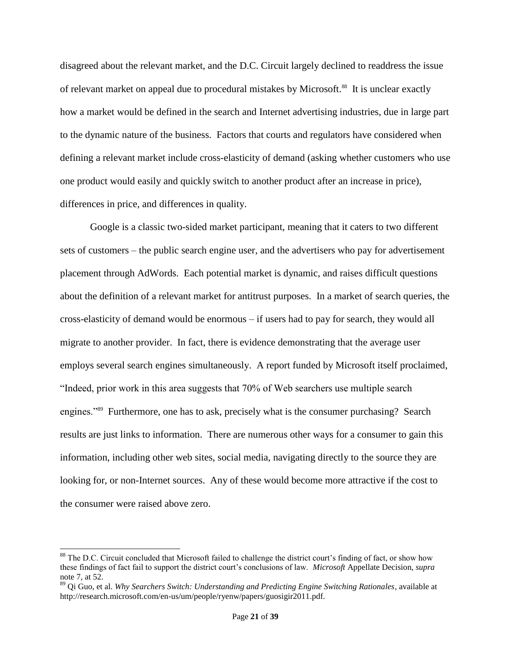disagreed about the relevant market, and the D.C. Circuit largely declined to readdress the issue of relevant market on appeal due to procedural mistakes by Microsoft.<sup>88</sup> It is unclear exactly how a market would be defined in the search and Internet advertising industries, due in large part to the dynamic nature of the business. Factors that courts and regulators have considered when defining a relevant market include cross-elasticity of demand (asking whether customers who use one product would easily and quickly switch to another product after an increase in price), differences in price, and differences in quality.

Google is a classic two-sided market participant, meaning that it caters to two different sets of customers – the public search engine user, and the advertisers who pay for advertisement placement through AdWords. Each potential market is dynamic, and raises difficult questions about the definition of a relevant market for antitrust purposes. In a market of search queries, the cross-elasticity of demand would be enormous – if users had to pay for search, they would all migrate to another provider. In fact, there is evidence demonstrating that the average user employs several search engines simultaneously. A report funded by Microsoft itself proclaimed, "Indeed, prior work in this area suggests that 70% of Web searchers use multiple search engines."<sup>89</sup> Furthermore, one has to ask, precisely what is the consumer purchasing? Search results are just links to information. There are numerous other ways for a consumer to gain this information, including other web sites, social media, navigating directly to the source they are looking for, or non-Internet sources. Any of these would become more attractive if the cost to the consumer were raised above zero.

 $\overline{\phantom{a}}$ 

 $88$  The D.C. Circuit concluded that Microsoft failed to challenge the district court's finding of fact, or show how these findings of fact fail to support the district court's conclusions of law. *Microsoft* Appellate Decision, *supra* not[e 7,](#page-1-1) at 52.

<sup>89</sup> Qi Guo, et al. *Why Searchers Switch: Understanding and Predicting Engine Switching Rationales*, available at http://research.microsoft.com/en-us/um/people/ryenw/papers/guosigir2011.pdf.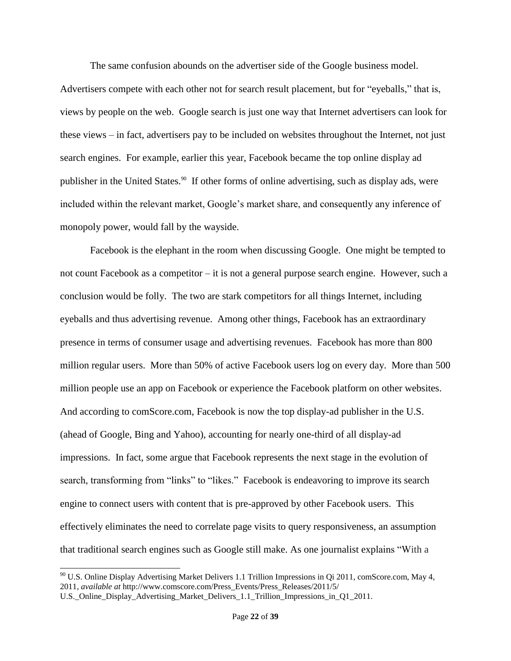The same confusion abounds on the advertiser side of the Google business model.

Advertisers compete with each other not for search result placement, but for "eyeballs," that is, views by people on the web. Google search is just one way that Internet advertisers can look for these views – in fact, advertisers pay to be included on websites throughout the Internet, not just search engines. For example, earlier this year, Facebook became the top online display ad publisher in the United States.<sup>90</sup> If other forms of online advertising, such as display ads, were included within the relevant market, Google's market share, and consequently any inference of monopoly power, would fall by the wayside.

Facebook is the elephant in the room when discussing Google. One might be tempted to not count Facebook as a competitor – it is not a general purpose search engine. However, such a conclusion would be folly. The two are stark competitors for all things Internet, including eyeballs and thus advertising revenue. Among other things, Facebook has an extraordinary presence in terms of consumer usage and advertising revenues. Facebook has more than 800 million regular users. More than 50% of active Facebook users log on every day. More than 500 million people use an app on Facebook or experience the Facebook platform on other websites. And according to comScore.com, Facebook is now the top display-ad publisher in the U.S. (ahead of Google, Bing and Yahoo), accounting for nearly one-third of all display-ad impressions. In fact, some argue that Facebook represents the next stage in the evolution of search, transforming from "links" to "likes." Facebook is endeavoring to improve its search engine to connect users with content that is pre-approved by other Facebook users. This effectively eliminates the need to correlate page visits to query responsiveness, an assumption that traditional search engines such as Google still make. As one journalist explains "With a

l

 $90$  U.S. Online Display Advertising Market Delivers 1.1 Trillion Impressions in Qi 2011, comScore.com, May 4, 2011, *available at* http://www.comscore.com/Press\_Events/Press\_Releases/2011/5/

U.S.\_Online\_Display\_Advertising\_Market\_Delivers\_1.1\_Trillion\_Impressions\_in\_Q1\_2011.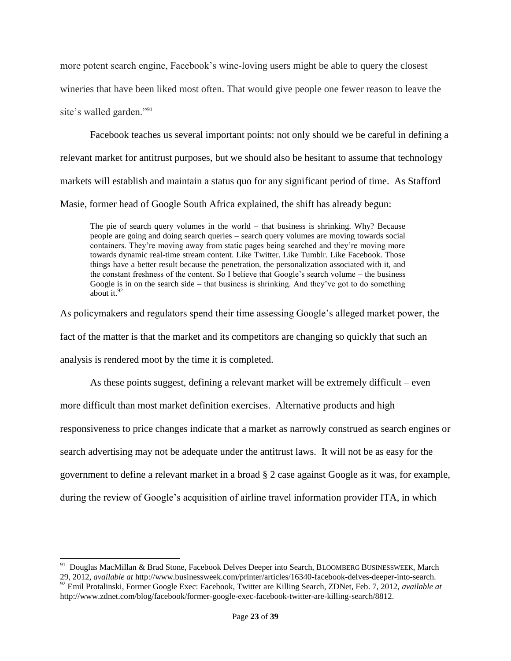more potent search engine, Facebook's wine-loving users might be able to query the closest wineries that have been liked most often. That would give people one fewer reason to leave the site's walled garden."<sup>91</sup>

Facebook teaches us several important points: not only should we be careful in defining a relevant market for antitrust purposes, but we should also be hesitant to assume that technology markets will establish and maintain a status quo for any significant period of time. As Stafford Masie, former head of Google South Africa explained, the shift has already begun:

The pie of search query volumes in the world – that business is shrinking. Why? Because people are going and doing search queries – search query volumes are moving towards social containers. They're moving away from static pages being searched and they're moving more towards dynamic real-time stream content. Like Twitter. Like Tumblr. Like Facebook. Those things have a better result because the penetration, the personalization associated with it, and the constant freshness of the content. So I believe that Google's search volume – the business Google is in on the search side – that business is shrinking. And they've got to do something about it.  $92$ 

As policymakers and regulators spend their time assessing Google's alleged market power, the fact of the matter is that the market and its competitors are changing so quickly that such an analysis is rendered moot by the time it is completed.

As these points suggest, defining a relevant market will be extremely difficult – even more difficult than most market definition exercises. Alternative products and high responsiveness to price changes indicate that a market as narrowly construed as search engines or search advertising may not be adequate under the antitrust laws. It will not be as easy for the government to define a relevant market in a broad § 2 case against Google as it was, for example, during the review of Google's acquisition of airline travel information provider ITA, in which

 $\overline{\phantom{a}}$ 

<sup>&</sup>lt;sup>91</sup> Douglas MacMillan & Brad Stone, Facebook Delves Deeper into Search, BLOOMBERG BUSINESSWEEK, March 29, 2012, *available at* http://www.businessweek.com/printer/articles/16340-facebook-delves-deeper-into-search.

<sup>92</sup> Emil Protalinski, Former Google Exec: Facebook, Twitter are Killing Search, ZDNet, Feb. 7, 2012, *available at* http://www.zdnet.com/blog/facebook/former-google-exec-facebook-twitter-are-killing-search/8812.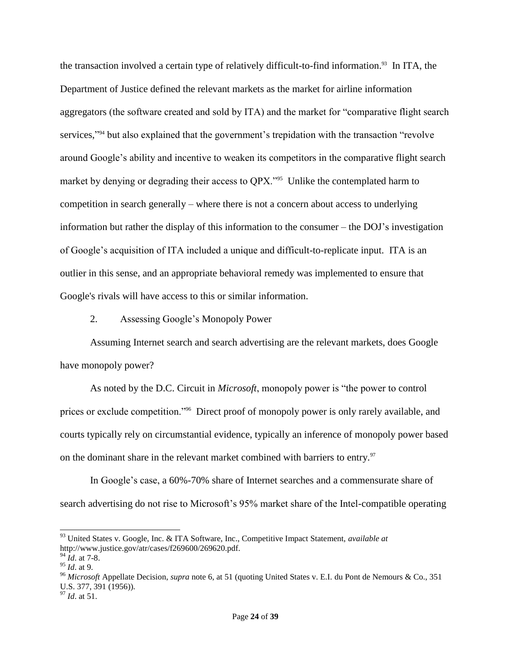the transaction involved a certain type of relatively difficult-to-find information.<sup>93</sup> In ITA, the Department of Justice defined the relevant markets as the market for airline information aggregators (the software created and sold by ITA) and the market for "comparative flight search services,"<sup>94</sup> but also explained that the government's trepidation with the transaction "revolve around Google's ability and incentive to weaken its competitors in the comparative flight search market by denying or degrading their access to QPX."<sup>95</sup> Unlike the contemplated harm to competition in search generally – where there is not a concern about access to underlying information but rather the display of this information to the consumer – the DOJ's investigation of Google's acquisition of ITA included a unique and difficult-to-replicate input. ITA is an outlier in this sense, and an appropriate behavioral remedy was implemented to ensure that Google's rivals will have access to this or similar information.

2. Assessing Google's Monopoly Power

Assuming Internet search and search advertising are the relevant markets, does Google have monopoly power?

As noted by the D.C. Circuit in *Microsoft*, monopoly power is "the power to control prices or exclude competition."<sup>96</sup> Direct proof of monopoly power is only rarely available, and courts typically rely on circumstantial evidence, typically an inference of monopoly power based on the dominant share in the relevant market combined with barriers to entry.<sup>97</sup>

In Google's case, a 60%-70% share of Internet searches and a commensurate share of search advertising do not rise to Microsoft's 95% market share of the Intel-compatible operating

 $\overline{\phantom{a}}$ 

<sup>93</sup> United States v. Google, Inc. & ITA Software, Inc., Competitive Impact Statement, *available at* http://www.justice.gov/atr/cases/f269600/269620.pdf.

 $94 \tilde{I}$ *d.* at 7-8.

<sup>95</sup> *Id*. at 9.

<sup>96</sup> *Microsoft* Appellate Decision, *supra* note 6, at 51 (quoting United States v. E.I. du Pont de Nemours & Co., 351 U.S. 377, 391 (1956)).

<sup>97</sup> *Id*. at 51.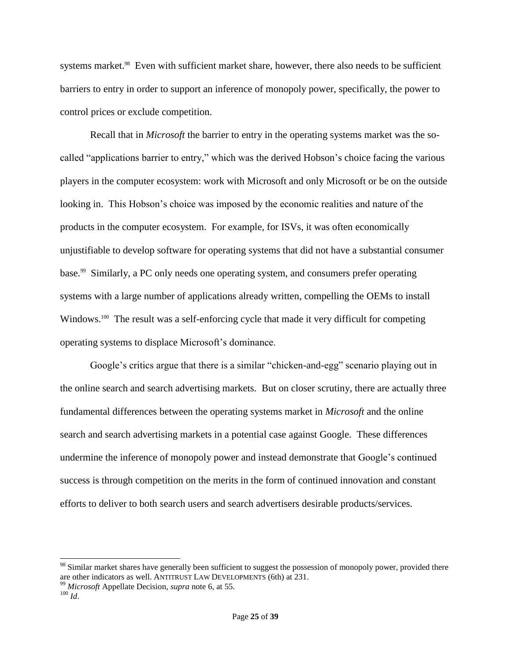systems market.<sup>98</sup> Even with sufficient market share, however, there also needs to be sufficient barriers to entry in order to support an inference of monopoly power, specifically, the power to control prices or exclude competition.

Recall that in *Microsoft* the barrier to entry in the operating systems market was the socalled "applications barrier to entry," which was the derived Hobson's choice facing the various players in the computer ecosystem: work with Microsoft and only Microsoft or be on the outside looking in. This Hobson's choice was imposed by the economic realities and nature of the products in the computer ecosystem. For example, for ISVs, it was often economically unjustifiable to develop software for operating systems that did not have a substantial consumer base. <sup>99</sup> Similarly, a PC only needs one operating system, and consumers prefer operating systems with a large number of applications already written, compelling the OEMs to install Windows.<sup>100</sup> The result was a self-enforcing cycle that made it very difficult for competing operating systems to displace Microsoft's dominance.

Google's critics argue that there is a similar "chicken-and-egg" scenario playing out in the online search and search advertising markets. But on closer scrutiny, there are actually three fundamental differences between the operating systems market in *Microsoft* and the online search and search advertising markets in a potential case against Google. These differences undermine the inference of monopoly power and instead demonstrate that Google's continued success is through competition on the merits in the form of continued innovation and constant efforts to deliver to both search users and search advertisers desirable products/services.

<sup>&</sup>lt;sup>98</sup> Similar market shares have generally been sufficient to suggest the possession of monopoly power, provided there are other indicators as well. ANTITRUST LAW DEVELOPMENTS (6th) at 231.

<sup>99</sup> *Microsoft* Appellate Decision, *supra* note 6, at 55.

 $100$  *Id.*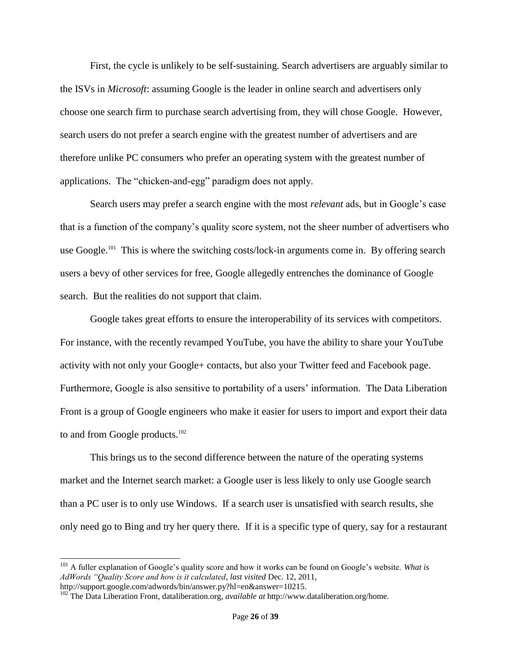First, the cycle is unlikely to be self-sustaining. Search advertisers are arguably similar to the ISVs in *Microsoft*: assuming Google is the leader in online search and advertisers only choose one search firm to purchase search advertising from, they will chose Google. However, search users do not prefer a search engine with the greatest number of advertisers and are therefore unlike PC consumers who prefer an operating system with the greatest number of applications. The "chicken-and-egg" paradigm does not apply.

Search users may prefer a search engine with the most *relevant* ads, but in Google's case that is a function of the company's quality score system, not the sheer number of advertisers who use Google.<sup>101</sup> This is where the switching costs/lock-in arguments come in. By offering search users a bevy of other services for free, Google allegedly entrenches the dominance of Google search. But the realities do not support that claim.

Google takes great efforts to ensure the interoperability of its services with competitors. For instance, with the recently revamped YouTube, you have the ability to share your YouTube activity with not only your Google+ contacts, but also your Twitter feed and Facebook page. Furthermore, Google is also sensitive to portability of a users' information. The Data Liberation Front is a group of Google engineers who make it easier for users to import and export their data to and from Google products.<sup>102</sup>

This brings us to the second difference between the nature of the operating systems market and the Internet search market: a Google user is less likely to only use Google search than a PC user is to only use Windows. If a search user is unsatisfied with search results, she only need go to Bing and try her query there. If it is a specific type of query, say for a restaurant

<sup>101</sup> A fuller explanation of Google's quality score and how it works can be found on Google's website. *What is AdWords "Quality Score and how is it calculated*, *last visited* Dec. 12, 2011, http://support.google.com/adwords/bin/answer.py?hl=en&answer=10215.

<sup>102</sup> The Data Liberation Front, dataliberation.org, *available at* http://www.dataliberation.org/home.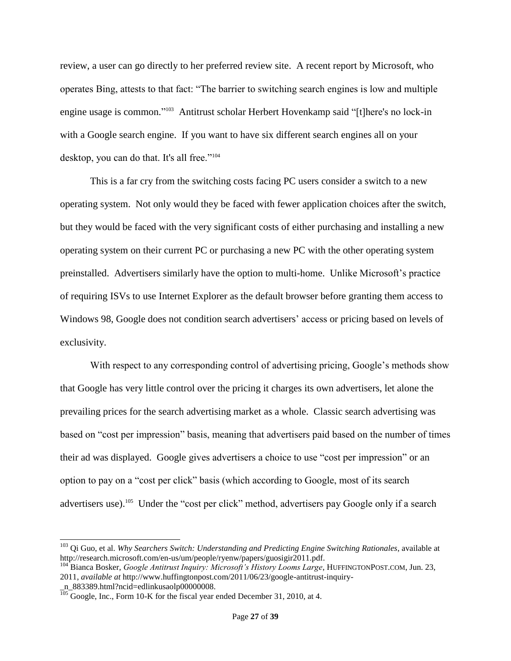review, a user can go directly to her preferred review site. A recent report by Microsoft, who operates Bing, attests to that fact: "The barrier to switching search engines is low and multiple engine usage is common." <sup>103</sup> Antitrust scholar Herbert Hovenkamp said "[t]here's no lock-in with a Google search engine. If you want to have six different search engines all on your desktop, you can do that. It's all free."<sup>104</sup>

This is a far cry from the switching costs facing PC users consider a switch to a new operating system. Not only would they be faced with fewer application choices after the switch, but they would be faced with the very significant costs of either purchasing and installing a new operating system on their current PC or purchasing a new PC with the other operating system preinstalled. Advertisers similarly have the option to multi-home. Unlike Microsoft's practice of requiring ISVs to use Internet Explorer as the default browser before granting them access to Windows 98, Google does not condition search advertisers' access or pricing based on levels of exclusivity.

With respect to any corresponding control of advertising pricing, Google's methods show that Google has very little control over the pricing it charges its own advertisers, let alone the prevailing prices for the search advertising market as a whole. Classic search advertising was based on "cost per impression" basis, meaning that advertisers paid based on the number of times their ad was displayed. Google gives advertisers a choice to use "cost per impression" or an option to pay on a "cost per click" basis (which according to Google, most of its search advertisers use).<sup>105</sup> Under the "cost per click" method, advertisers pay Google only if a search

<sup>103</sup> Qi Guo, et al. *Why Searchers Switch: Understanding and Predicting Engine Switching Rationales*, available at http://research.microsoft.com/en-us/um/people/ryenw/papers/guosigir2011.pdf.

<sup>104</sup> Bianca Bosker, *Google Antitrust Inquiry: Microsoft's History Looms Large*, HUFFINGTONPOST.COM, Jun. 23, 2011, *available at* http://www.huffingtonpost.com/2011/06/23/google-antitrust-inquiry-

\_n\_883389.html?ncid=edlinkusaolp00000008.

<sup>&</sup>lt;sup>105</sup> Google, Inc., Form 10-K for the fiscal year ended December 31, 2010, at 4.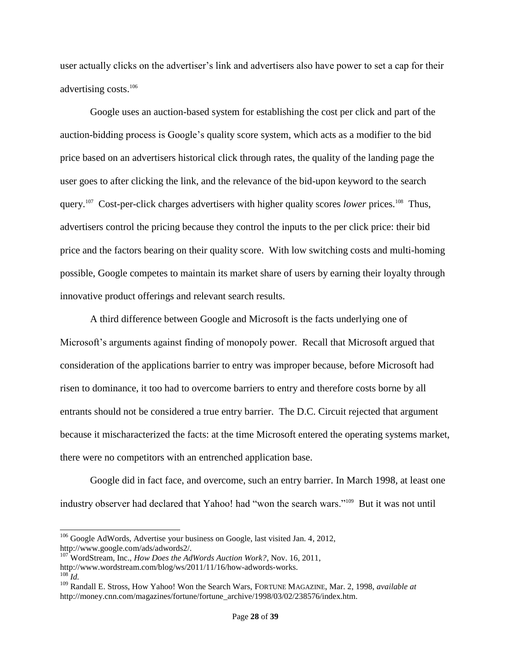user actually clicks on the advertiser's link and advertisers also have power to set a cap for their advertising costs.<sup>106</sup>

Google uses an auction-based system for establishing the cost per click and part of the auction-bidding process is Google's quality score system, which acts as a modifier to the bid price based on an advertisers historical click through rates, the quality of the landing page the user goes to after clicking the link, and the relevance of the bid-upon keyword to the search query.<sup>107</sup> Cost-per-click charges advertisers with higher quality scores *lower* prices.<sup>108</sup> Thus, advertisers control the pricing because they control the inputs to the per click price: their bid price and the factors bearing on their quality score. With low switching costs and multi-homing possible, Google competes to maintain its market share of users by earning their loyalty through innovative product offerings and relevant search results.

A third difference between Google and Microsoft is the facts underlying one of Microsoft's arguments against finding of monopoly power. Recall that Microsoft argued that consideration of the applications barrier to entry was improper because, before Microsoft had risen to dominance, it too had to overcome barriers to entry and therefore costs borne by all entrants should not be considered a true entry barrier. The D.C. Circuit rejected that argument because it mischaracterized the facts: at the time Microsoft entered the operating systems market, there were no competitors with an entrenched application base.

Google did in fact face, and overcome, such an entry barrier. In March 1998, at least one industry observer had declared that Yahoo! had "won the search wars."<sup>109</sup> But it was not until

 $106$  Google AdWords, Advertise your business on Google, last visited Jan. 4, 2012, http://www.google.com/ads/adwords2/.

<sup>107</sup> WordStream, Inc., *How Does the AdWords Auction Work?*, Nov. 16, 2011, http://www.wordstream.com/blog/ws/2011/11/16/how-adwords-works.  $^{108}$ *Id.* 

<sup>109</sup> Randall E. Stross, How Yahoo! Won the Search Wars, FORTUNE MAGAZINE, Mar. 2, 1998, *available at*  http://money.cnn.com/magazines/fortune/fortune\_archive/1998/03/02/238576/index.htm.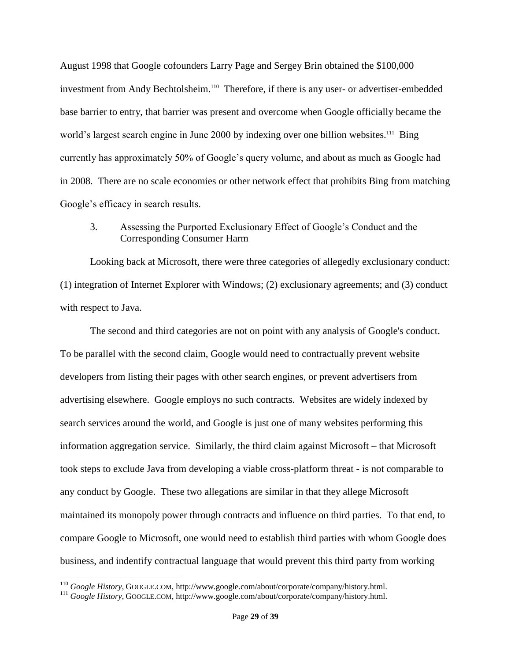August 1998 that Google cofounders Larry Page and Sergey Brin obtained the \$100,000 investment from Andy Bechtolsheim.<sup>110</sup> Therefore, if there is any user- or advertiser-embedded base barrier to entry, that barrier was present and overcome when Google officially became the world's largest search engine in June 2000 by indexing over one billion websites.<sup>111</sup> Bing currently has approximately 50% of Google's query volume, and about as much as Google had in 2008. There are no scale economies or other network effect that prohibits Bing from matching Google's efficacy in search results.

# 3. Assessing the Purported Exclusionary Effect of Google's Conduct and the Corresponding Consumer Harm

Looking back at Microsoft, there were three categories of allegedly exclusionary conduct: (1) integration of Internet Explorer with Windows; (2) exclusionary agreements; and (3) conduct with respect to Java.

The second and third categories are not on point with any analysis of Google's conduct. To be parallel with the second claim, Google would need to contractually prevent website developers from listing their pages with other search engines, or prevent advertisers from advertising elsewhere. Google employs no such contracts. Websites are widely indexed by search services around the world, and Google is just one of many websites performing this information aggregation service. Similarly, the third claim against Microsoft – that Microsoft took steps to exclude Java from developing a viable cross-platform threat - is not comparable to any conduct by Google. These two allegations are similar in that they allege Microsoft maintained its monopoly power through contracts and influence on third parties. To that end, to compare Google to Microsoft, one would need to establish third parties with whom Google does business, and indentify contractual language that would prevent this third party from working

<sup>110</sup> *Google History*, GOOGLE.COM, http://www.google.com/about/corporate/company/history.html.

<sup>111</sup> *Google History*, GOOGLE.COM, http://www.google.com/about/corporate/company/history.html.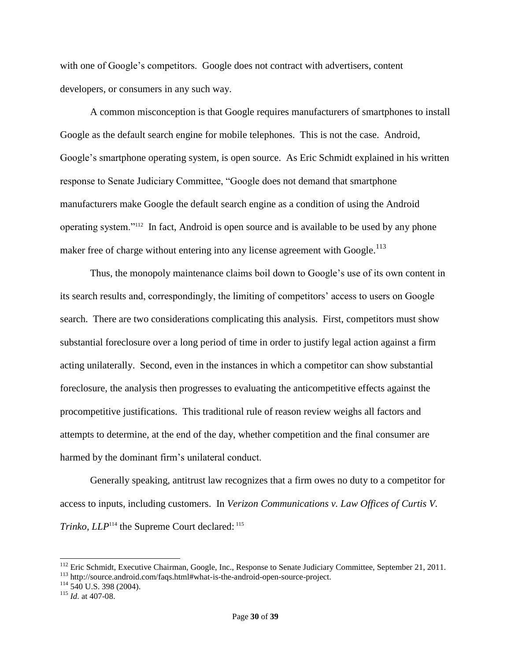with one of Google's competitors. Google does not contract with advertisers, content developers, or consumers in any such way.

A common misconception is that Google requires manufacturers of smartphones to install Google as the default search engine for mobile telephones. This is not the case. Android, Google's smartphone operating system, is open source. As Eric Schmidt explained in his written response to Senate Judiciary Committee, "Google does not demand that smartphone manufacturers make Google the default search engine as a condition of using the Android operating system."<sup>112</sup> In fact, Android is open source and is available to be used by any phone maker free of charge without entering into any license agreement with Google.<sup>113</sup>

Thus, the monopoly maintenance claims boil down to Google's use of its own content in its search results and, correspondingly, the limiting of competitors' access to users on Google search. There are two considerations complicating this analysis. First, competitors must show substantial foreclosure over a long period of time in order to justify legal action against a firm acting unilaterally. Second, even in the instances in which a competitor can show substantial foreclosure, the analysis then progresses to evaluating the anticompetitive effects against the procompetitive justifications. This traditional rule of reason review weighs all factors and attempts to determine, at the end of the day, whether competition and the final consumer are harmed by the dominant firm's unilateral conduct.

Generally speaking, antitrust law recognizes that a firm owes no duty to a competitor for access to inputs, including customers. In *Verizon Communications v. Law Offices of Curtis V. Trinko, LLP*<sup>114</sup> the Supreme Court declared: <sup>115</sup>

<sup>&</sup>lt;sup>112</sup> Eric Schmidt, Executive Chairman, Google, Inc., Response to Senate Judiciary Committee, September 21, 2011.

<sup>113</sup> http://source.android.com/faqs.html#what-is-the-android-open-source-project.

 $114$  540 U.S. 398 (2004).

<sup>115</sup> *Id.* at 407-08.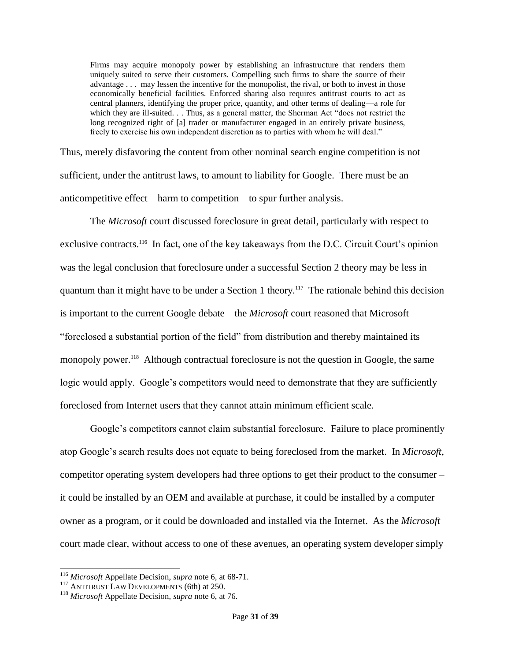Firms may acquire monopoly power by establishing an infrastructure that renders them uniquely suited to serve their customers. Compelling such firms to share the source of their advantage . . . may lessen the incentive for the monopolist, the rival, or both to invest in those economically beneficial facilities. Enforced sharing also requires antitrust courts to act as central planners, identifying the proper price, quantity, and other terms of dealing—a role for which they are ill-suited. . . Thus, as a general matter, the Sherman Act "does not restrict the long recognized right of [a] trader or manufacturer engaged in an entirely private business, freely to exercise his own independent discretion as to parties with whom he will deal."

Thus, merely disfavoring the content from other nominal search engine competition is not sufficient, under the antitrust laws, to amount to liability for Google. There must be an anticompetitive effect – harm to competition – to spur further analysis.

The *Microsoft* court discussed foreclosure in great detail, particularly with respect to exclusive contracts.<sup>116</sup> In fact, one of the key takeaways from the D.C. Circuit Court's opinion was the legal conclusion that foreclosure under a successful Section 2 theory may be less in quantum than it might have to be under a Section 1 theory.<sup>117</sup> The rationale behind this decision is important to the current Google debate – the *Microsoft* court reasoned that Microsoft "foreclosed a substantial portion of the field" from distribution and thereby maintained its monopoly power.<sup>118</sup> Although contractual foreclosure is not the question in Google, the same logic would apply. Google's competitors would need to demonstrate that they are sufficiently foreclosed from Internet users that they cannot attain minimum efficient scale.

Google's competitors cannot claim substantial foreclosure. Failure to place prominently atop Google's search results does not equate to being foreclosed from the market. In *Microsoft*, competitor operating system developers had three options to get their product to the consumer – it could be installed by an OEM and available at purchase, it could be installed by a computer owner as a program, or it could be downloaded and installed via the Internet. As the *Microsoft* court made clear, without access to one of these avenues, an operating system developer simply

l

<sup>116</sup> *Microsoft* Appellate Decision, *supra* note 6, at 68-71.

 $117$  ANTITRUST LAW DEVELOPMENTS (6th) at 250.

<sup>118</sup> *Microsoft* Appellate Decision, *supra* note 6, at 76.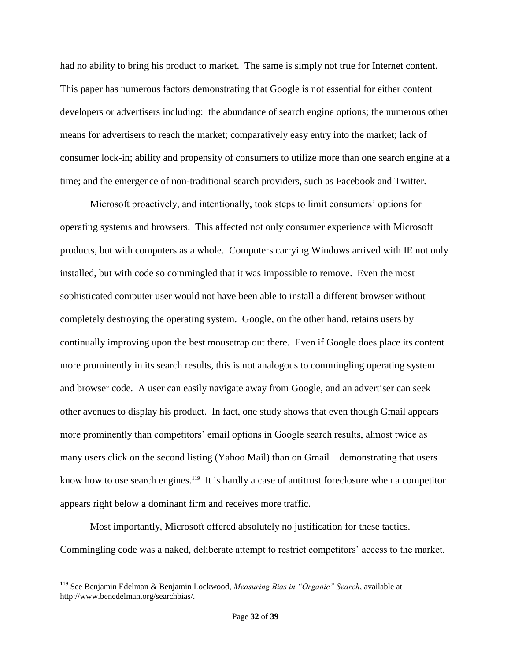had no ability to bring his product to market. The same is simply not true for Internet content. This paper has numerous factors demonstrating that Google is not essential for either content developers or advertisers including: the abundance of search engine options; the numerous other means for advertisers to reach the market; comparatively easy entry into the market; lack of consumer lock-in; ability and propensity of consumers to utilize more than one search engine at a time; and the emergence of non-traditional search providers, such as Facebook and Twitter.

Microsoft proactively, and intentionally, took steps to limit consumers' options for operating systems and browsers. This affected not only consumer experience with Microsoft products, but with computers as a whole. Computers carrying Windows arrived with IE not only installed, but with code so commingled that it was impossible to remove. Even the most sophisticated computer user would not have been able to install a different browser without completely destroying the operating system. Google, on the other hand, retains users by continually improving upon the best mousetrap out there. Even if Google does place its content more prominently in its search results, this is not analogous to commingling operating system and browser code. A user can easily navigate away from Google, and an advertiser can seek other avenues to display his product. In fact, one study shows that even though Gmail appears more prominently than competitors' email options in Google search results, almost twice as many users click on the second listing (Yahoo Mail) than on Gmail – demonstrating that users know how to use search engines.<sup>119</sup> It is hardly a case of antitrust foreclosure when a competitor appears right below a dominant firm and receives more traffic.

Most importantly, Microsoft offered absolutely no justification for these tactics. Commingling code was a naked, deliberate attempt to restrict competitors' access to the market.

<sup>119</sup> See Benjamin Edelman & Benjamin Lockwood, *Measuring Bias in "Organic" Search*, available at http://www.benedelman.org/searchbias/.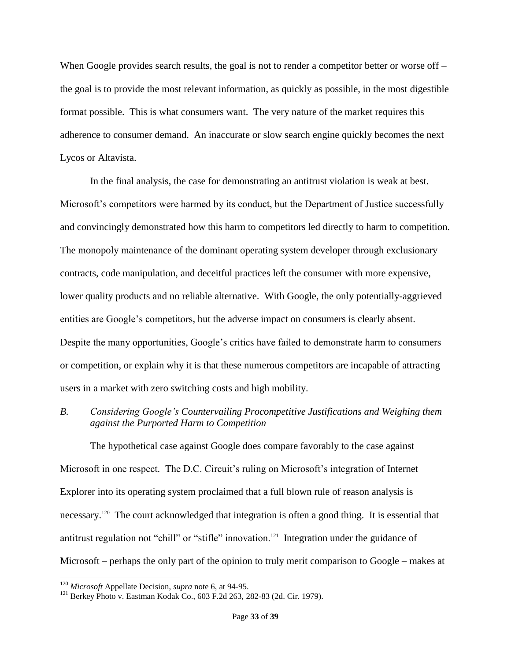When Google provides search results, the goal is not to render a competitor better or worse off – the goal is to provide the most relevant information, as quickly as possible, in the most digestible format possible. This is what consumers want. The very nature of the market requires this adherence to consumer demand. An inaccurate or slow search engine quickly becomes the next Lycos or Altavista.

In the final analysis, the case for demonstrating an antitrust violation is weak at best. Microsoft's competitors were harmed by its conduct, but the Department of Justice successfully and convincingly demonstrated how this harm to competitors led directly to harm to competition. The monopoly maintenance of the dominant operating system developer through exclusionary contracts, code manipulation, and deceitful practices left the consumer with more expensive, lower quality products and no reliable alternative. With Google, the only potentially-aggrieved entities are Google's competitors, but the adverse impact on consumers is clearly absent. Despite the many opportunities, Google's critics have failed to demonstrate harm to consumers or competition, or explain why it is that these numerous competitors are incapable of attracting users in a market with zero switching costs and high mobility.

*B. Considering Google's Countervailing Procompetitive Justifications and Weighing them against the Purported Harm to Competition*

The hypothetical case against Google does compare favorably to the case against Microsoft in one respect. The D.C. Circuit's ruling on Microsoft's integration of Internet Explorer into its operating system proclaimed that a full blown rule of reason analysis is necessary.<sup>120</sup> The court acknowledged that integration is often a good thing. It is essential that antitrust regulation not "chill" or "stifle" innovation.<sup>121</sup> Integration under the guidance of Microsoft – perhaps the only part of the opinion to truly merit comparison to Google – makes at

<sup>120</sup> *Microsoft* Appellate Decision, *supra* note 6, at 94-95.

<sup>&</sup>lt;sup>121</sup> Berkey Photo v. Eastman Kodak Co., 603 F.2d 263, 282-83 (2d. Cir. 1979).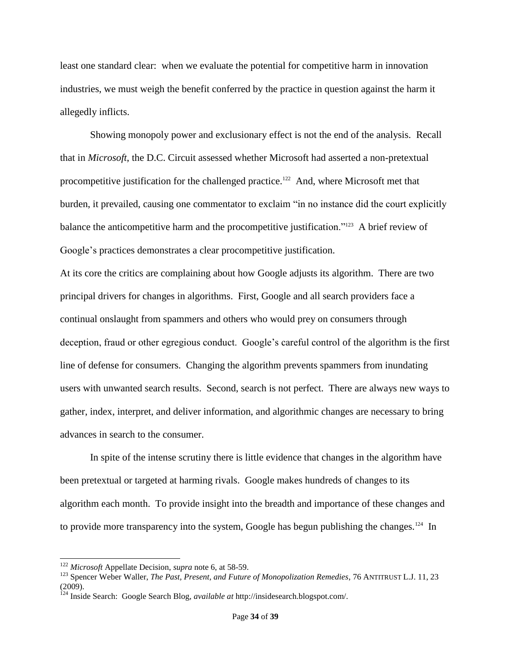least one standard clear: when we evaluate the potential for competitive harm in innovation industries, we must weigh the benefit conferred by the practice in question against the harm it allegedly inflicts.

Showing monopoly power and exclusionary effect is not the end of the analysis. Recall that in *Microsoft*, the D.C. Circuit assessed whether Microsoft had asserted a non-pretextual procompetitive justification for the challenged practice.<sup>122</sup> And, where Microsoft met that burden, it prevailed, causing one commentator to exclaim "in no instance did the court explicitly balance the anticompetitive harm and the procompetitive justification."<sup>123</sup> A brief review of Google's practices demonstrates a clear procompetitive justification.

At its core the critics are complaining about how Google adjusts its algorithm. There are two principal drivers for changes in algorithms. First, Google and all search providers face a continual onslaught from spammers and others who would prey on consumers through deception, fraud or other egregious conduct. Google's careful control of the algorithm is the first line of defense for consumers. Changing the algorithm prevents spammers from inundating users with unwanted search results. Second, search is not perfect. There are always new ways to gather, index, interpret, and deliver information, and algorithmic changes are necessary to bring advances in search to the consumer.

In spite of the intense scrutiny there is little evidence that changes in the algorithm have been pretextual or targeted at harming rivals. Google makes hundreds of changes to its algorithm each month. To provide insight into the breadth and importance of these changes and to provide more transparency into the system, Google has begun publishing the changes.<sup>124</sup> In

<sup>122</sup> *Microsoft* Appellate Decision, *supra* note 6, at 58-59.

<sup>123</sup> Spencer Weber Waller, *The Past, Present, and Future of Monopolization Remedies*, 76 ANTITRUST L.J. 11, 23 (2009).

<sup>124</sup> Inside Search: Google Search Blog, *available at* http://insidesearch.blogspot.com/.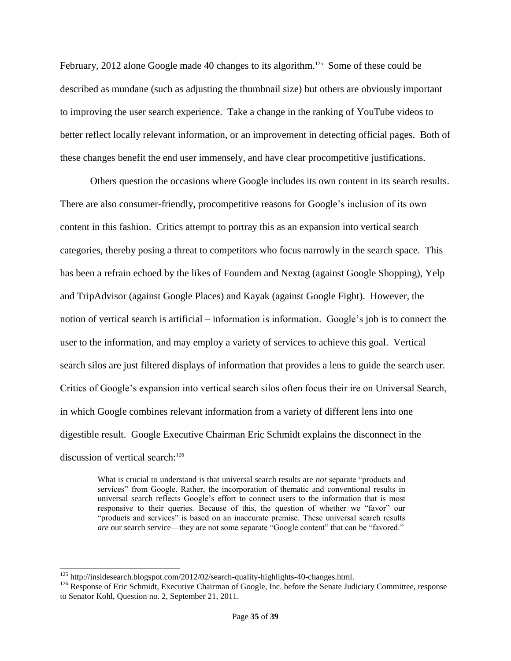February, 2012 alone Google made 40 changes to its algorithm.<sup>125</sup> Some of these could be described as mundane (such as adjusting the thumbnail size) but others are obviously important to improving the user search experience. Take a change in the ranking of YouTube videos to better reflect locally relevant information, or an improvement in detecting official pages. Both of these changes benefit the end user immensely, and have clear procompetitive justifications.

Others question the occasions where Google includes its own content in its search results. There are also consumer-friendly, procompetitive reasons for Google's inclusion of its own content in this fashion. Critics attempt to portray this as an expansion into vertical search categories, thereby posing a threat to competitors who focus narrowly in the search space. This has been a refrain echoed by the likes of Foundem and Nextag (against Google Shopping), Yelp and TripAdvisor (against Google Places) and Kayak (against Google Fight). However, the notion of vertical search is artificial – information is information. Google's job is to connect the user to the information, and may employ a variety of services to achieve this goal. Vertical search silos are just filtered displays of information that provides a lens to guide the search user. Critics of Google's expansion into vertical search silos often focus their ire on Universal Search, in which Google combines relevant information from a variety of different lens into one digestible result. Google Executive Chairman Eric Schmidt explains the disconnect in the discussion of vertical search:<sup>126</sup>

What is crucial to understand is that universal search results are *not* separate "products and services" from Google. Rather, the incorporation of thematic and conventional results in universal search reflects Google's effort to connect users to the information that is most responsive to their queries. Because of this, the question of whether we "favor" our "products and services" is based on an inaccurate premise. These universal search results *are* our search service—they are not some separate "Google content" that can be "favored."

l

<sup>&</sup>lt;sup>125</sup> http://insidesearch.blogspot.com/2012/02/search-quality-highlights-40-changes.html.

<sup>&</sup>lt;sup>126</sup> Response of Eric Schmidt, Executive Chairman of Google, Inc. before the Senate Judiciary Committee, response to Senator Kohl, Question no. 2, September 21, 2011.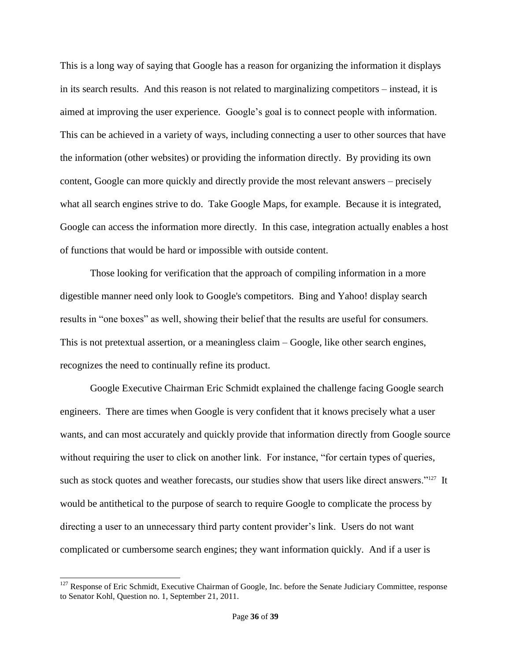This is a long way of saying that Google has a reason for organizing the information it displays in its search results. And this reason is not related to marginalizing competitors – instead, it is aimed at improving the user experience. Google's goal is to connect people with information. This can be achieved in a variety of ways, including connecting a user to other sources that have the information (other websites) or providing the information directly. By providing its own content, Google can more quickly and directly provide the most relevant answers – precisely what all search engines strive to do. Take Google Maps, for example. Because it is integrated, Google can access the information more directly. In this case, integration actually enables a host of functions that would be hard or impossible with outside content.

Those looking for verification that the approach of compiling information in a more digestible manner need only look to Google's competitors. Bing and Yahoo! display search results in "one boxes" as well, showing their belief that the results are useful for consumers. This is not pretextual assertion, or a meaningless claim – Google, like other search engines, recognizes the need to continually refine its product.

Google Executive Chairman Eric Schmidt explained the challenge facing Google search engineers. There are times when Google is very confident that it knows precisely what a user wants, and can most accurately and quickly provide that information directly from Google source without requiring the user to click on another link. For instance, "for certain types of queries, such as stock quotes and weather forecasts, our studies show that users like direct answers."<sup>127</sup> It would be antithetical to the purpose of search to require Google to complicate the process by directing a user to an unnecessary third party content provider's link. Users do not want complicated or cumbersome search engines; they want information quickly. And if a user is

 $127$  Response of Eric Schmidt, Executive Chairman of Google, Inc. before the Senate Judiciary Committee, response to Senator Kohl, Question no. 1, September 21, 2011.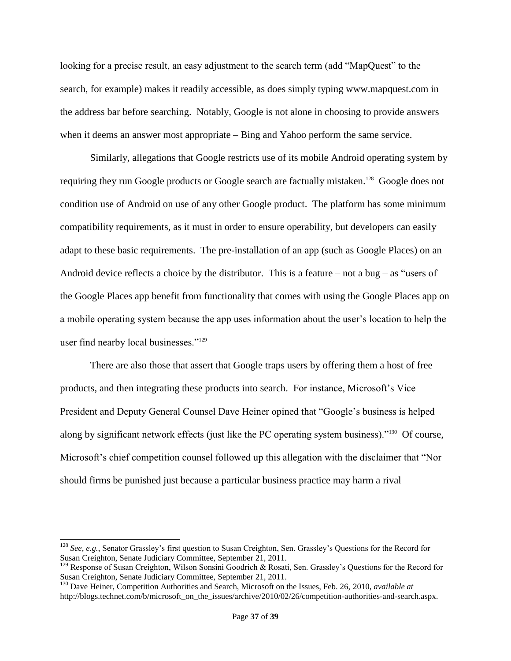looking for a precise result, an easy adjustment to the search term (add "MapQuest" to the search, for example) makes it readily accessible, as does simply typing www.mapquest.com in the address bar before searching. Notably, Google is not alone in choosing to provide answers when it deems an answer most appropriate – Bing and Yahoo perform the same service.

Similarly, allegations that Google restricts use of its mobile Android operating system by requiring they run Google products or Google search are factually mistaken.<sup>128</sup> Google does not condition use of Android on use of any other Google product. The platform has some minimum compatibility requirements, as it must in order to ensure operability, but developers can easily adapt to these basic requirements. The pre-installation of an app (such as Google Places) on an Android device reflects a choice by the distributor. This is a feature – not a bug – as "users of the Google Places app benefit from functionality that comes with using the Google Places app on a mobile operating system because the app uses information about the user's location to help the user find nearby local businesses."<sup>129</sup>

There are also those that assert that Google traps users by offering them a host of free products, and then integrating these products into search. For instance, Microsoft's Vice President and Deputy General Counsel Dave Heiner opined that "Google's business is helped along by significant network effects (just like the PC operating system business)."<sup>130</sup> Of course, Microsoft's chief competition counsel followed up this allegation with the disclaimer that "Nor should firms be punished just because a particular business practice may harm a rival—

<sup>128</sup> *See, e.g.*, Senator Grassley's first question to Susan Creighton, Sen. Grassley's Questions for the Record for Susan Creighton, Senate Judiciary Committee, September 21, 2011.

<sup>&</sup>lt;sup>129</sup> Response of Susan Creighton, Wilson Sonsini Goodrich & Rosati, Sen. Grassley's Questions for the Record for Susan Creighton, Senate Judiciary Committee, September 21, 2011.

<sup>130</sup> Dave Heiner, Competition Authorities and Search, Microsoft on the Issues, Feb. 26, 2010, *available at*  http://blogs.technet.com/b/microsoft\_on\_the\_issues/archive/2010/02/26/competition-authorities-and-search.aspx.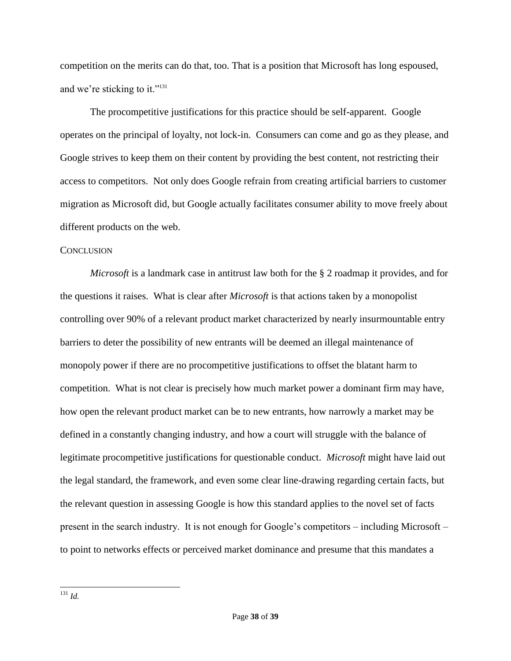competition on the merits can do that, too. That is a position that Microsoft has long espoused, and we're sticking to it."<sup>131</sup>

The procompetitive justifications for this practice should be self-apparent. Google operates on the principal of loyalty, not lock-in. Consumers can come and go as they please, and Google strives to keep them on their content by providing the best content, not restricting their access to competitors. Not only does Google refrain from creating artificial barriers to customer migration as Microsoft did, but Google actually facilitates consumer ability to move freely about different products on the web.

#### **CONCLUSION**

*Microsoft* is a landmark case in antitrust law both for the § 2 roadmap it provides, and for the questions it raises. What is clear after *Microsoft* is that actions taken by a monopolist controlling over 90% of a relevant product market characterized by nearly insurmountable entry barriers to deter the possibility of new entrants will be deemed an illegal maintenance of monopoly power if there are no procompetitive justifications to offset the blatant harm to competition. What is not clear is precisely how much market power a dominant firm may have, how open the relevant product market can be to new entrants, how narrowly a market may be defined in a constantly changing industry, and how a court will struggle with the balance of legitimate procompetitive justifications for questionable conduct. *Microsoft* might have laid out the legal standard, the framework, and even some clear line-drawing regarding certain facts, but the relevant question in assessing Google is how this standard applies to the novel set of facts present in the search industry. It is not enough for Google's competitors – including Microsoft – to point to networks effects or perceived market dominance and presume that this mandates a